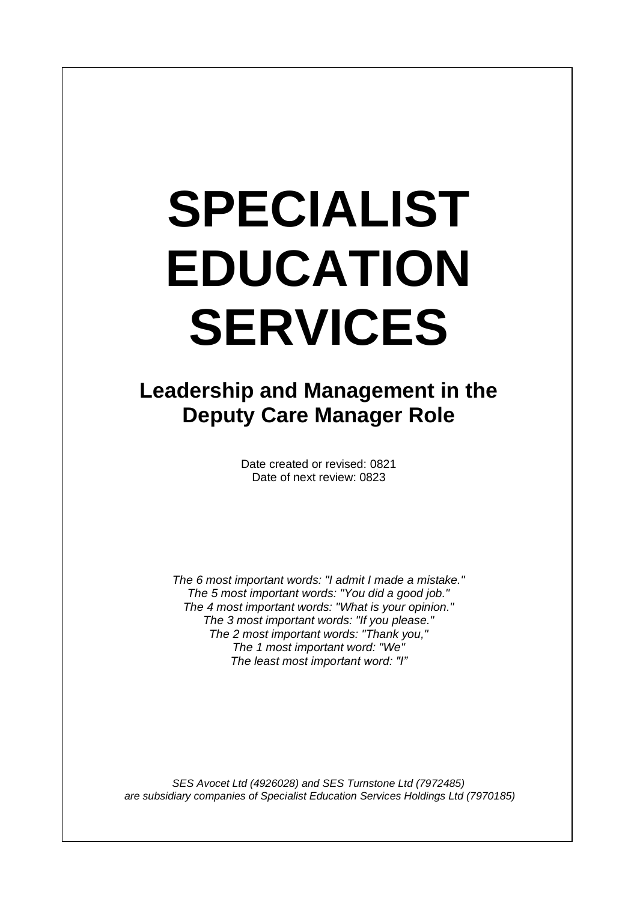# **SPECIALIST EDUCATION SERVICES**

I

# **Leadership and Management in the Deputy Care Manager Role**

Date created or revised: 0821 Date of next review: 0823

*The 6 most important words: "I admit I made a mistake." The 5 most important words: "You did a good job." The 4 most important words: "What is your opinion." The 3 most important words: "If you please." The 2 most important words: "Thank you," The 1 most important word: "We" The least most important word: "I"*

*SES Avocet Ltd (4926028) and SES Turnstone Ltd (7972485) are subsidiary companies of Specialist Education Services Holdings Ltd (7970185)*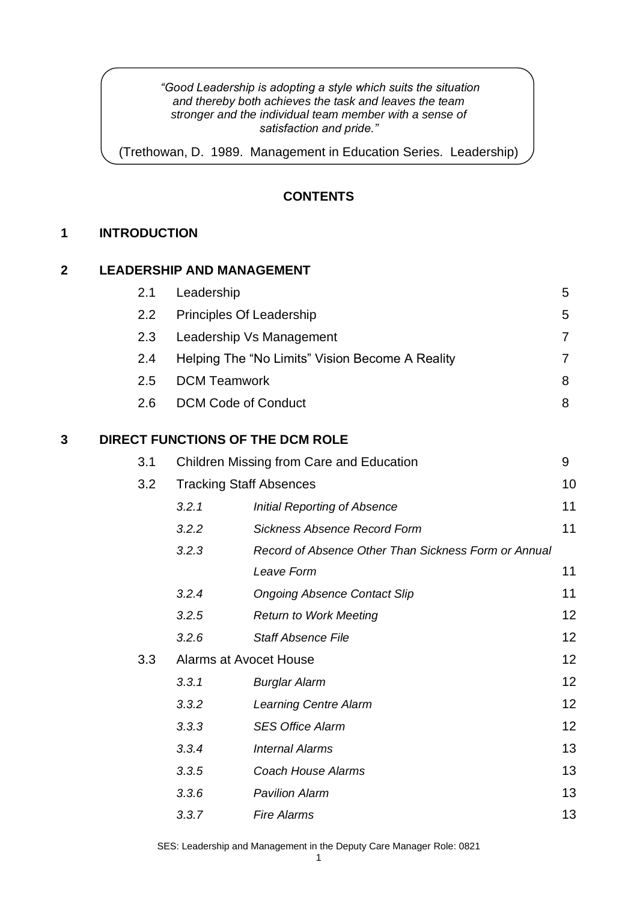#### *"Good Leadership is adopting a style which suits the situation and thereby both achieves the task and leaves the team stronger and the individual team member with a sense of satisfaction and pride."*

(Trethowan, D. 1989. Management in Education Series. Leadership)

## **CONTENTS**

## **1 INTRODUCTION**

## **2 LEADERSHIP AND MANAGEMENT**

|   | 2.1 | Leadership                     |                                                      | 5  |
|---|-----|--------------------------------|------------------------------------------------------|----|
|   | 2.2 | Principles Of Leadership       |                                                      | 5  |
|   | 2.3 |                                | Leadership Vs Management                             | 7  |
|   | 2.4 |                                | Helping The "No Limits" Vision Become A Reality      | 7  |
|   | 2.5 | <b>DCM Teamwork</b>            |                                                      | 8  |
|   | 2.6 | <b>DCM Code of Conduct</b>     |                                                      | 8  |
| 3 |     |                                | DIRECT FUNCTIONS OF THE DCM ROLE                     |    |
|   | 3.1 |                                | Children Missing from Care and Education             | 9  |
|   | 3.2 | <b>Tracking Staff Absences</b> |                                                      | 10 |
|   |     | 3.2.1                          | <b>Initial Reporting of Absence</b>                  | 11 |
|   |     | 3.2.2                          | <b>Sickness Absence Record Form</b>                  | 11 |
|   |     | 3.2.3                          | Record of Absence Other Than Sickness Form or Annual |    |
|   |     |                                | Leave Form                                           | 11 |
|   |     | 3.2.4                          | <b>Ongoing Absence Contact Slip</b>                  | 11 |
|   |     | 3.2.5                          | <b>Return to Work Meeting</b>                        | 12 |
|   |     | 3.2.6                          | <b>Staff Absence File</b>                            | 12 |
|   | 3.3 | <b>Alarms at Avocet House</b>  |                                                      | 12 |
|   |     | 3.3.1                          | <b>Burglar Alarm</b>                                 | 12 |
|   |     | 3.3.2                          | <b>Learning Centre Alarm</b>                         | 12 |
|   |     | 3.3.3                          | <b>SES Office Alarm</b>                              | 12 |
|   |     | 3.3.4                          | <b>Internal Alarms</b>                               | 13 |
|   |     | 3.3.5                          | <b>Coach House Alarms</b>                            | 13 |
|   |     | 3.3.6                          | <b>Pavilion Alarm</b>                                | 13 |
|   |     | 3.3.7                          | <b>Fire Alarms</b>                                   | 13 |

SES: Leadership and Management in the Deputy Care Manager Role: 0821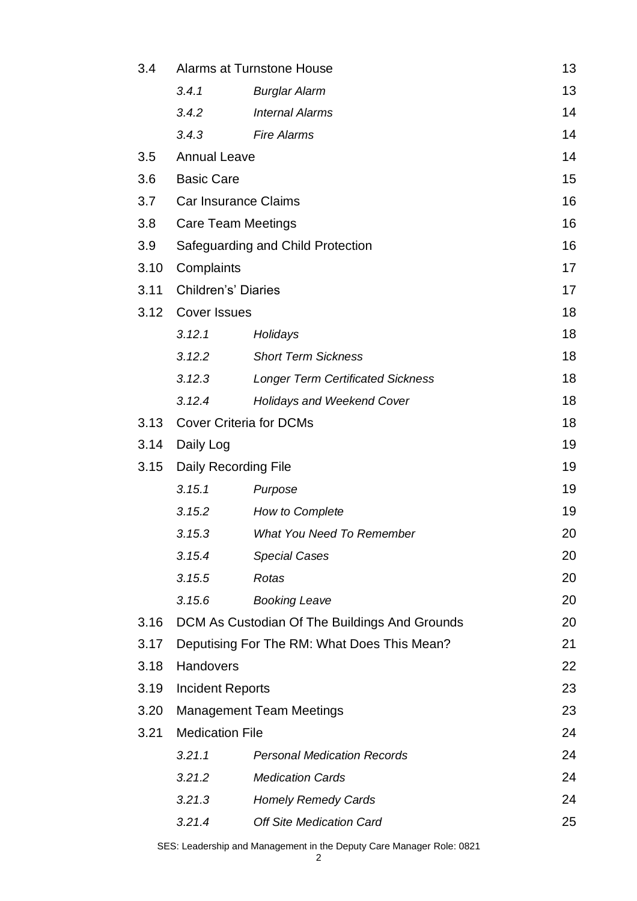| 3.4  | Alarms at Turnstone House                   |                                               | 13 |
|------|---------------------------------------------|-----------------------------------------------|----|
|      | 3.4.1                                       | <b>Burglar Alarm</b>                          | 13 |
|      | 3.4.2                                       | <b>Internal Alarms</b>                        | 14 |
|      | 3.4.3                                       | <b>Fire Alarms</b>                            | 14 |
| 3.5  | <b>Annual Leave</b>                         |                                               | 14 |
| 3.6  | <b>Basic Care</b>                           |                                               | 15 |
| 3.7  | Car Insurance Claims                        |                                               | 16 |
| 3.8  | <b>Care Team Meetings</b>                   |                                               | 16 |
| 3.9  |                                             | Safeguarding and Child Protection             | 16 |
| 3.10 | Complaints                                  |                                               | 17 |
| 3.11 | <b>Children's' Diaries</b>                  |                                               | 17 |
| 3.12 | <b>Cover Issues</b>                         |                                               | 18 |
|      | 3.12.1                                      | Holidays                                      | 18 |
|      | 3.12.2                                      | <b>Short Term Sickness</b>                    | 18 |
|      | 3.12.3                                      | <b>Longer Term Certificated Sickness</b>      | 18 |
|      | 3.12.4                                      | <b>Holidays and Weekend Cover</b>             | 18 |
| 3.13 | <b>Cover Criteria for DCMs</b>              |                                               |    |
| 3.14 | Daily Log                                   | 19                                            |    |
| 3.15 | Daily Recording File                        |                                               | 19 |
|      | 3.15.1                                      | Purpose                                       | 19 |
|      | 3.15.2                                      | How to Complete                               | 19 |
|      | 3.15.3                                      | <b>What You Need To Remember</b>              | 20 |
|      | 3.15.4                                      | <b>Special Cases</b>                          | 20 |
|      | 3.15.5                                      | Rotas                                         | 20 |
|      | 3.15.6                                      | <b>Booking Leave</b>                          | 20 |
| 3.16 |                                             | DCM As Custodian Of The Buildings And Grounds | 20 |
| 3.17 | Deputising For The RM: What Does This Mean? |                                               |    |
| 3.18 | Handovers                                   |                                               |    |
| 3.19 | <b>Incident Reports</b>                     |                                               |    |
| 3.20 | <b>Management Team Meetings</b>             |                                               |    |
| 3.21 | <b>Medication File</b>                      |                                               | 24 |
|      | 3.21.1                                      | <b>Personal Medication Records</b>            | 24 |
|      | 3.21.2                                      | <b>Medication Cards</b>                       | 24 |
|      | 3.21.3                                      | <b>Homely Remedy Cards</b>                    | 24 |
|      | 3.21.4                                      | <b>Off Site Medication Card</b>               | 25 |
|      |                                             |                                               |    |

SES: Leadership and Management in the Deputy Care Manager Role: 0821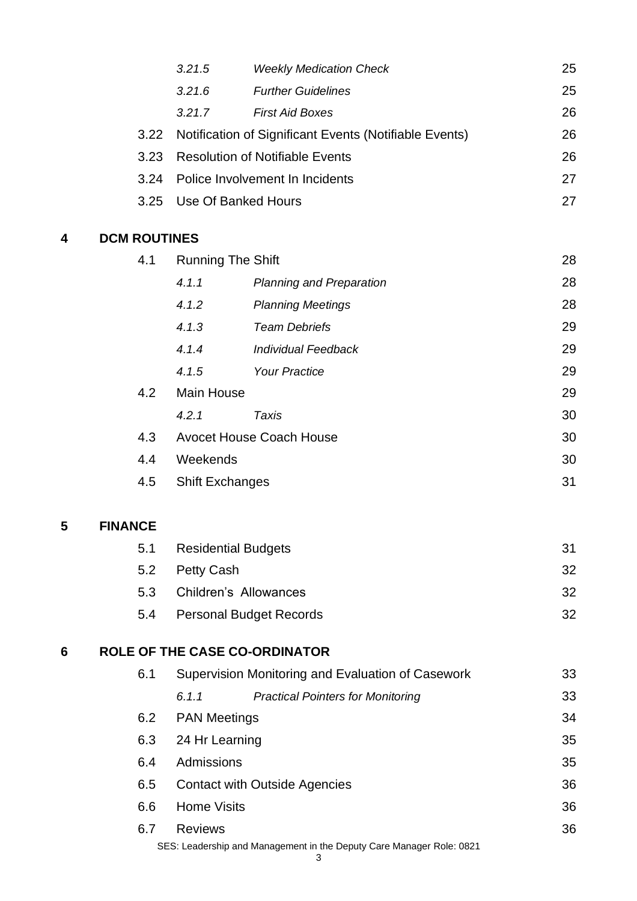|   |                     | 3.21.5                   | <b>Weekly Medication Check</b>                                       | 25 |
|---|---------------------|--------------------------|----------------------------------------------------------------------|----|
|   |                     | 3.21.6                   | <b>Further Guidelines</b>                                            | 25 |
|   |                     | 3.21.7                   | <b>First Aid Boxes</b>                                               | 26 |
|   | 3.22                |                          | Notification of Significant Events (Notifiable Events)               | 26 |
|   | 3.23                |                          | <b>Resolution of Notifiable Events</b>                               | 26 |
|   | 3.24                |                          | Police Involvement In Incidents                                      | 27 |
|   | 3.25                |                          | <b>Use Of Banked Hours</b>                                           | 27 |
| 4 | <b>DCM ROUTINES</b> |                          |                                                                      |    |
|   | 4.1                 | <b>Running The Shift</b> |                                                                      | 28 |
|   |                     | 4.1.1                    | <b>Planning and Preparation</b>                                      | 28 |
|   |                     | 4.1.2                    | <b>Planning Meetings</b>                                             | 28 |
|   |                     | 4.1.3                    | <b>Team Debriefs</b>                                                 | 29 |
|   |                     | 4.1.4                    | <b>Individual Feedback</b>                                           | 29 |
|   |                     | 4.1.5                    | <b>Your Practice</b>                                                 | 29 |
|   | 4.2                 | <b>Main House</b>        |                                                                      | 29 |
|   |                     | 4.2.1                    | <b>Taxis</b>                                                         | 30 |
|   | 4.3                 |                          | <b>Avocet House Coach House</b>                                      | 30 |
|   | 4.4                 | Weekends                 |                                                                      | 30 |
|   | 4.5                 | <b>Shift Exchanges</b>   |                                                                      | 31 |
| 5 | <b>FINANCE</b>      |                          |                                                                      |    |
|   | 5.1                 |                          | <b>Residential Budgets</b>                                           | 31 |
|   | 5.2                 | <b>Petty Cash</b>        |                                                                      | 32 |
|   | 5.3                 |                          | <b>Children's Allowances</b>                                         | 32 |
|   | 5.4                 |                          | <b>Personal Budget Records</b>                                       | 32 |
| 6 |                     |                          | <b>ROLE OF THE CASE CO-ORDINATOR</b>                                 |    |
|   | 6.1                 |                          | Supervision Monitoring and Evaluation of Casework                    | 33 |
|   |                     | 6.1.1                    | <b>Practical Pointers for Monitoring</b>                             | 33 |
|   | 6.2                 | <b>PAN Meetings</b>      |                                                                      | 34 |
|   | 6.3                 | 24 Hr Learning           |                                                                      | 35 |
|   | 6.4                 | Admissions               |                                                                      | 35 |
|   | 6.5                 |                          | <b>Contact with Outside Agencies</b>                                 | 36 |
|   | 6.6                 | <b>Home Visits</b>       |                                                                      | 36 |
|   | 6.7                 | <b>Reviews</b>           |                                                                      | 36 |
|   |                     |                          | SES: Leadership and Management in the Deputy Care Manager Role: 0821 |    |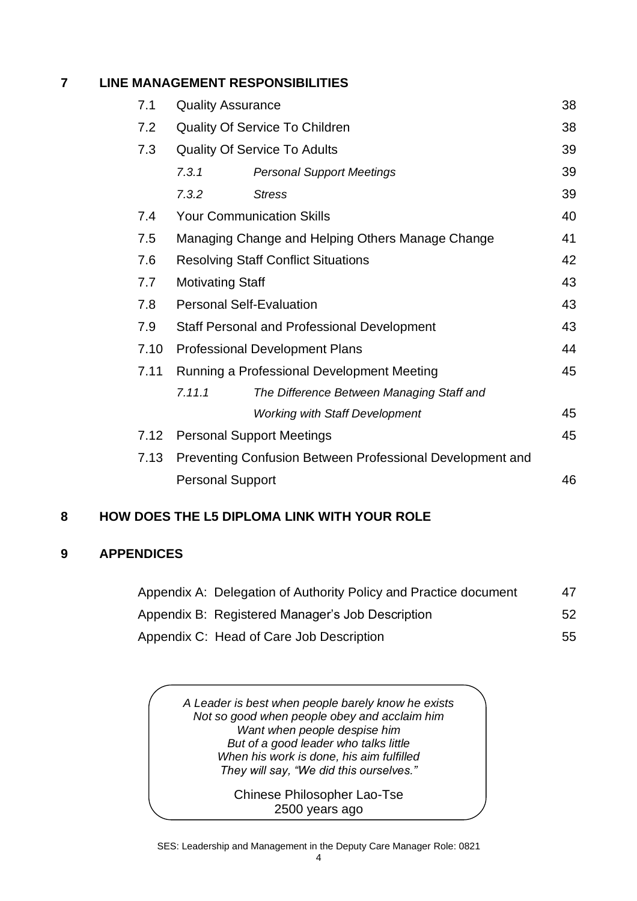## **7 LINE MANAGEMENT RESPONSIBILITIES**

| 7.1                     | <b>Quality Assurance</b>                           |                                                           |    |
|-------------------------|----------------------------------------------------|-----------------------------------------------------------|----|
| 7.2                     | <b>Quality Of Service To Children</b>              |                                                           |    |
| 7.3                     |                                                    | <b>Quality Of Service To Adults</b>                       | 39 |
|                         | 7.3.1                                              | <b>Personal Support Meetings</b>                          | 39 |
|                         | 7.3.2                                              | <b>Stress</b>                                             | 39 |
| 7.4                     |                                                    | <b>Your Communication Skills</b>                          | 40 |
| 7.5                     |                                                    | Managing Change and Helping Others Manage Change          | 41 |
| 7.6                     |                                                    | <b>Resolving Staff Conflict Situations</b>                | 42 |
| 7.7                     | <b>Motivating Staff</b>                            |                                                           |    |
| 7.8                     |                                                    | <b>Personal Self-Evaluation</b>                           | 43 |
| 7.9                     | <b>Staff Personal and Professional Development</b> |                                                           |    |
| 7.10                    | <b>Professional Development Plans</b>              |                                                           |    |
| 7.11                    | Running a Professional Development Meeting<br>45   |                                                           |    |
|                         | 7.11.1                                             | The Difference Between Managing Staff and                 |    |
|                         |                                                    | <b>Working with Staff Development</b>                     | 45 |
| 7.12                    |                                                    | <b>Personal Support Meetings</b>                          | 45 |
| 7.13                    |                                                    | Preventing Confusion Between Professional Development and |    |
| <b>Personal Support</b> |                                                    |                                                           | 46 |

## **8 HOW DOES THE L5 DIPLOMA LINK WITH YOUR ROLE**

## **9 APPENDICES**

| Appendix A: Delegation of Authority Policy and Practice document | 47  |
|------------------------------------------------------------------|-----|
| Appendix B: Registered Manager's Job Description                 | .52 |
| Appendix C: Head of Care Job Description                         | 55. |

*A Leader is best when people barely know he exists Not so good when people obey and acclaim him Want when people despise him But of a good leader who talks little When his work is done, his aim fulfilled They will say, "We did this ourselves."*

> Chinese Philosopher Lao-Tse 2500 years ago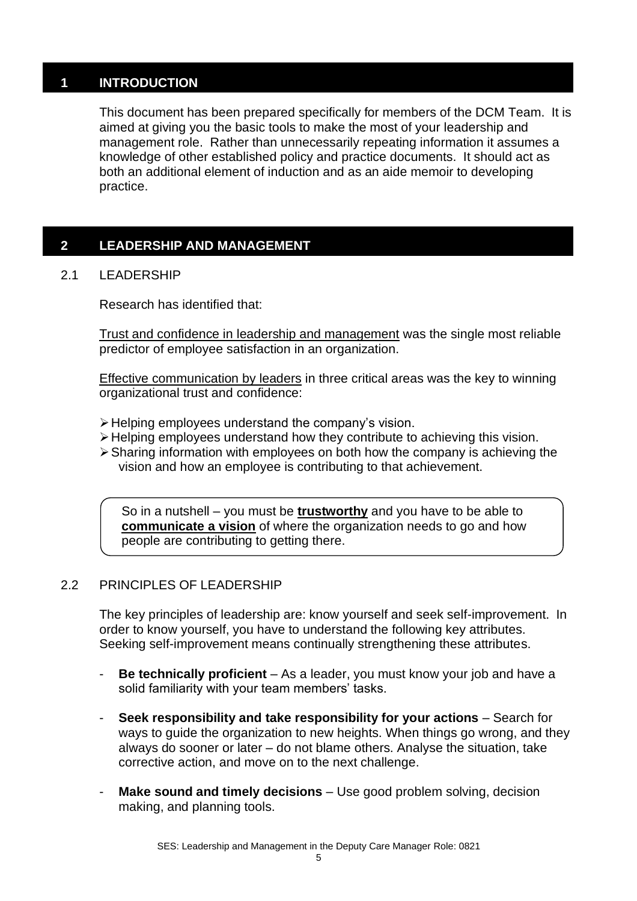## **1 INTRODUCTION**

This document has been prepared specifically for members of the DCM Team. It is aimed at giving you the basic tools to make the most of your leadership and management role. Rather than unnecessarily repeating information it assumes a knowledge of other established policy and practice documents. It should act as both an additional element of induction and as an aide memoir to developing practice.

## **2 LEADERSHIP AND MANAGEMENT**

## 2.1 LEADERSHIP

Research has identified that:

Trust and confidence in leadership and management was the single most reliable predictor of employee satisfaction in an organization.

Effective communication by leaders in three critical areas was the key to winning organizational trust and confidence:

- ➢Helping employees understand the company's vision.
- ➢Helping employees understand how they contribute to achieving this vision.
- ➢Sharing information with employees on both how the company is achieving the vision and how an employee is contributing to that achievement.

So in a nutshell – you must be **trustworthy** and you have to be able to **[communicate a vision](http://www.nwlink.com/~donclark/leader/vision.html)** of where the organization needs to go and how people are contributing to getting there.

## 2.2 PRINCIPLES OF LEADERSHIP

The key principles of leadership are: know yourself and seek self-improvement. In order to know yourself, you have to understand the following key attributes. Seeking self-improvement means continually strengthening these attributes.

- **Be technically proficient** As a leader, you must know your job and have a solid familiarity with your team members' tasks.
- **Seek responsibility and take responsibility for your actions** Search for ways to guide the organization to new heights. When things go wrong, and they always do sooner or later – do not blame others. Analyse the situation, take corrective action, and move on to the next challenge.
- **Make sound and timely decisions** Use good problem solving, decision making, and planning tools.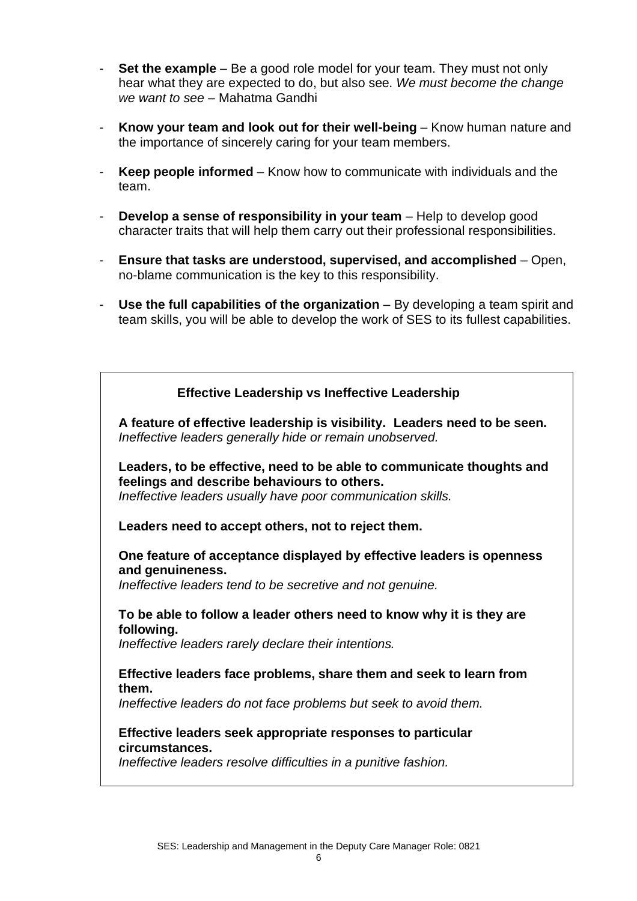- **Set the example** Be a good role model for your team. They must not only hear what they are expected to do, but also see. *We must become the change we want to see* – Mahatma Gandhi
- **Know your team and look out for their well-being** Know human nature and the importance of sincerely caring for your team members.
- **Keep people informed** Know how to communicate with individuals and the team.
- **Develop a sense of responsibility in your team** Help to develop good character traits that will help them carry out their professional responsibilities.
- **Ensure that tasks are understood, supervised, and accomplished** Open, no-blame communication is the key to this responsibility.
- Use the full capabilities of the organization By developing a team spirit and team skills, you will be able to develop the work of SES to its fullest capabilities.

## **Effective Leadership vs Ineffective Leadership**

**A feature of effective leadership is visibility. Leaders need to be seen.** *Ineffective leaders generally hide or remain unobserved.*

**Leaders, to be effective, need to be able to communicate thoughts and feelings and describe behaviours to others.**  *Ineffective leaders usually have poor communication skills.*

#### **Leaders need to accept others, not to reject them.**

## **One feature of acceptance displayed by effective leaders is openness and genuineness.**

*Ineffective leaders tend to be secretive and not genuine.*

## **To be able to follow a leader others need to know why it is they are following.**

*Ineffective leaders rarely declare their intentions.*

#### **Effective leaders face problems, share them and seek to learn from them.**

*Ineffective leaders do not face problems but seek to avoid them.* 

#### **Effective leaders seek appropriate responses to particular circumstances.**

*Ineffective leaders resolve difficulties in a punitive fashion.*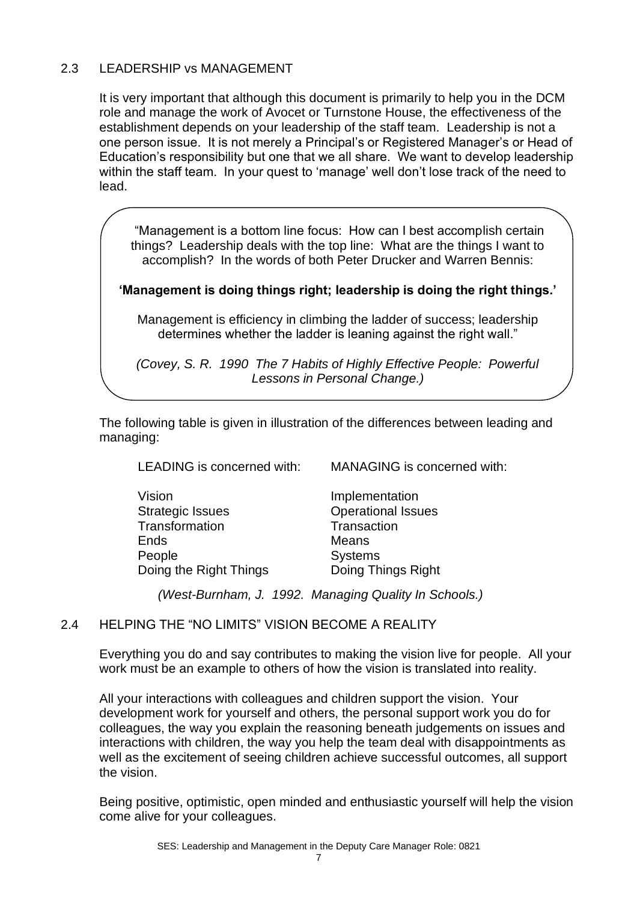## 2.3 LEADERSHIP vs MANAGEMENT

It is very important that although this document is primarily to help you in the DCM role and manage the work of Avocet or Turnstone House, the effectiveness of the establishment depends on your leadership of the staff team. Leadership is not a one person issue. It is not merely a Principal's or Registered Manager's or Head of Education's responsibility but one that we all share. We want to develop leadership within the staff team. In your quest to 'manage' well don't lose track of the need to lead.

"Management is a bottom line focus: How can I best accomplish certain things? Leadership deals with the top line: What are the things I want to accomplish? In the words of both Peter Drucker and Warren Bennis:

#### **'Management is doing things right; leadership is doing the right things.'**

Management is efficiency in climbing the ladder of success; leadership determines whether the ladder is leaning against the right wall."

*(Covey, S. R. 1990 The 7 Habits of Highly Effective People: Powerful Lessons in Personal Change.)*

The following table is given in illustration of the differences between leading and managing:

LEADING is concerned with: MANAGING is concerned with:

Vision **Implementation** Strategic Issues **Contact Contact Contact Contact Contact Contact Contact Contact Contact Contact Contact Contact Contact Contact Contact Contact Contact Contact Contact Contact Contact Contact Contact Contact Contact Cont** Transformation Transaction Ends Means People Systems Doing the Right Things Doing Things Right

*(West-Burnham, J. 1992. Managing Quality In Schools.)*

## 2.4 HELPING THE "NO LIMITS" VISION BECOME A REALITY

Everything you do and say contributes to making the vision live for people. All your work must be an example to others of how the vision is translated into reality.

All your interactions with colleagues and children support the vision. Your development work for yourself and others, the personal support work you do for colleagues, the way you explain the reasoning beneath judgements on issues and interactions with children, the way you help the team deal with disappointments as well as the excitement of seeing children achieve successful outcomes, all support the vision.

Being positive, optimistic, open minded and enthusiastic yourself will help the vision come alive for your colleagues.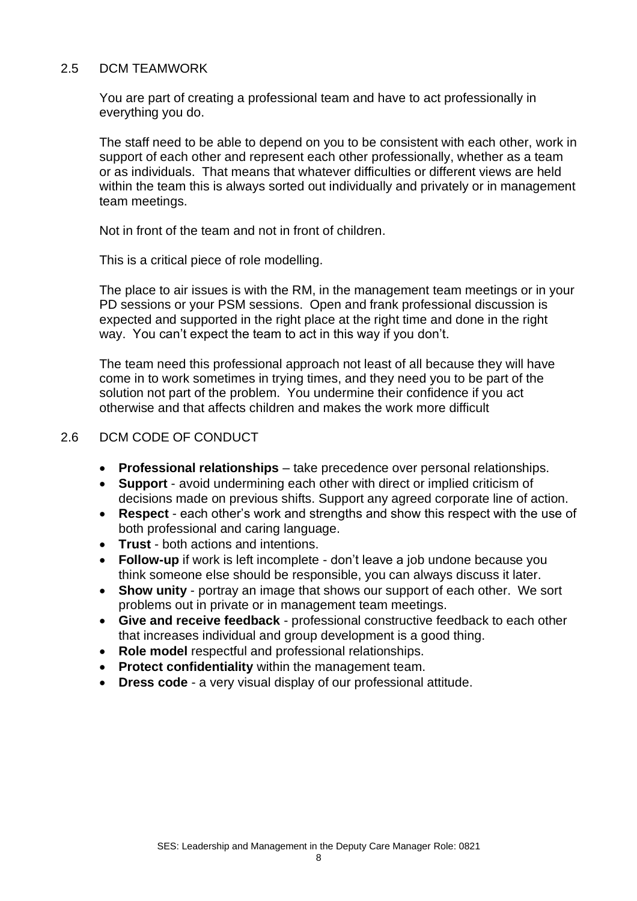#### 2.5 DCM TEAMWORK

You are part of creating a professional team and have to act professionally in everything you do.

The staff need to be able to depend on you to be consistent with each other, work in support of each other and represent each other professionally, whether as a team or as individuals. That means that whatever difficulties or different views are held within the team this is always sorted out individually and privately or in management team meetings.

Not in front of the team and not in front of children.

This is a critical piece of role modelling.

The place to air issues is with the RM, in the management team meetings or in your PD sessions or your PSM sessions. Open and frank professional discussion is expected and supported in the right place at the right time and done in the right way. You can't expect the team to act in this way if you don't.

The team need this professional approach not least of all because they will have come in to work sometimes in trying times, and they need you to be part of the solution not part of the problem. You undermine their confidence if you act otherwise and that affects children and makes the work more difficult

## 2.6 DCM CODE OF CONDUCT

- **Professional relationships** take precedence over personal relationships.
- **Support**  avoid undermining each other with direct or implied criticism of decisions made on previous shifts. Support any agreed corporate line of action.
- **Respect** each other's work and strengths and show this respect with the use of both professional and caring language.
- **Trust** both actions and intentions.
- **Follow-up** if work is left incomplete don't leave a job undone because you think someone else should be responsible, you can always discuss it later.
- **Show unity** portray an image that shows our support of each other. We sort problems out in private or in management team meetings.
- **Give and receive feedback** professional constructive feedback to each other that increases individual and group development is a good thing.
- **Role model** respectful and professional relationships.
- **Protect confidentiality** within the management team.
- **Dress code** a very visual display of our professional attitude.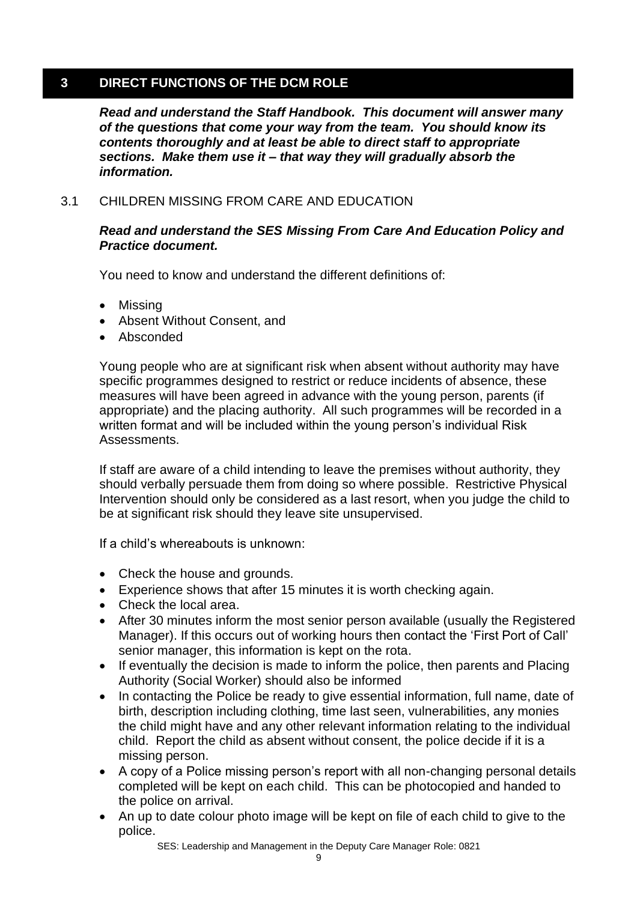## **3 DIRECT FUNCTIONS OF THE DCM ROLE**

*Read and understand the Staff Handbook. This document will answer many of the questions that come your way from the team. You should know its contents thoroughly and at least be able to direct staff to appropriate sections. Make them use it – that way they will gradually absorb the information.*

## 3.1 CHILDREN MISSING FROM CARE AND EDUCATION

## *Read and understand the SES Missing From Care And Education Policy and Practice document.*

You need to know and understand the different definitions of:

- Missing
- Absent Without Consent, and
- Absconded

Young people who are at significant risk when absent without authority may have specific programmes designed to restrict or reduce incidents of absence, these measures will have been agreed in advance with the young person, parents (if appropriate) and the placing authority. All such programmes will be recorded in a written format and will be included within the young person's individual Risk Assessments.

If staff are aware of a child intending to leave the premises without authority, they should verbally persuade them from doing so where possible. Restrictive Physical Intervention should only be considered as a last resort, when you judge the child to be at significant risk should they leave site unsupervised.

If a child's whereabouts is unknown:

- Check the house and grounds.
- Experience shows that after 15 minutes it is worth checking again.
- Check the local area.
- After 30 minutes inform the most senior person available (usually the Registered Manager). If this occurs out of working hours then contact the 'First Port of Call' senior manager, this information is kept on the rota.
- If eventually the decision is made to inform the police, then parents and Placing Authority (Social Worker) should also be informed
- In contacting the Police be ready to give essential information, full name, date of birth, description including clothing, time last seen, vulnerabilities, any monies the child might have and any other relevant information relating to the individual child. Report the child as absent without consent, the police decide if it is a missing person.
- A copy of a Police missing person's report with all non-changing personal details completed will be kept on each child. This can be photocopied and handed to the police on arrival.
- An up to date colour photo image will be kept on file of each child to give to the police.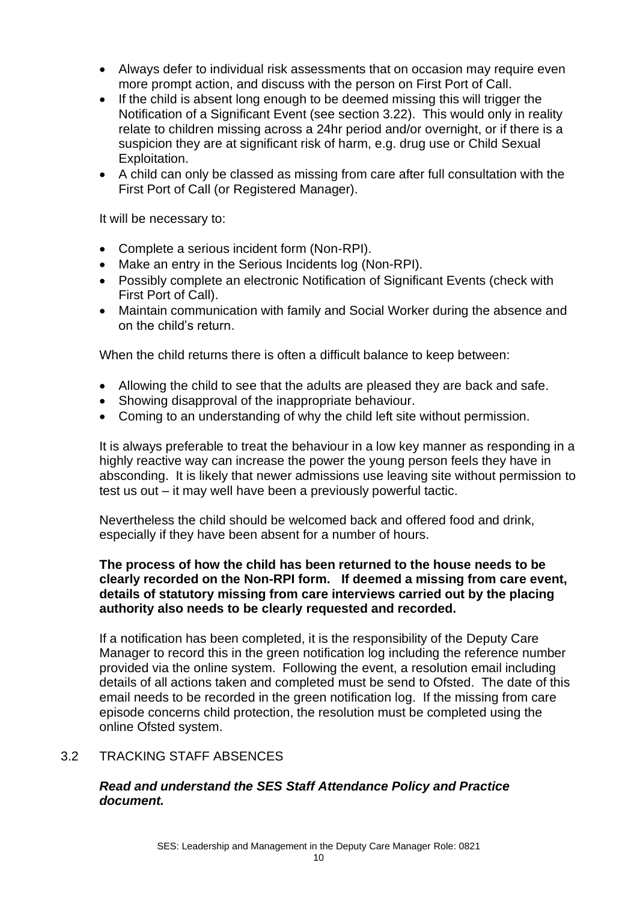- Always defer to individual risk assessments that on occasion may require even more prompt action, and discuss with the person on First Port of Call.
- If the child is absent long enough to be deemed missing this will trigger the Notification of a Significant Event (see section 3.22). This would only in reality relate to children missing across a 24hr period and/or overnight, or if there is a suspicion they are at significant risk of harm, e.g. drug use or Child Sexual Exploitation.
- A child can only be classed as missing from care after full consultation with the First Port of Call (or Registered Manager).

It will be necessary to:

- Complete a serious incident form (Non-RPI).
- Make an entry in the Serious Incidents log (Non-RPI).
- Possibly complete an electronic Notification of Significant Events (check with First Port of Call).
- Maintain communication with family and Social Worker during the absence and on the child's return.

When the child returns there is often a difficult balance to keep between:

- Allowing the child to see that the adults are pleased they are back and safe.
- Showing disapproval of the inappropriate behaviour.
- Coming to an understanding of why the child left site without permission.

It is always preferable to treat the behaviour in a low key manner as responding in a highly reactive way can increase the power the young person feels they have in absconding. It is likely that newer admissions use leaving site without permission to test us out – it may well have been a previously powerful tactic.

Nevertheless the child should be welcomed back and offered food and drink, especially if they have been absent for a number of hours.

## **The process of how the child has been returned to the house needs to be clearly recorded on the Non-RPI form. If deemed a missing from care event, details of statutory missing from care interviews carried out by the placing authority also needs to be clearly requested and recorded.**

If a notification has been completed, it is the responsibility of the Deputy Care Manager to record this in the green notification log including the reference number provided via the online system. Following the event, a resolution email including details of all actions taken and completed must be send to Ofsted. The date of this email needs to be recorded in the green notification log. If the missing from care episode concerns child protection, the resolution must be completed using the online Ofsted system.

## 3.2 TRACKING STAFF ABSENCES

## *Read and understand the SES Staff Attendance Policy and Practice document.*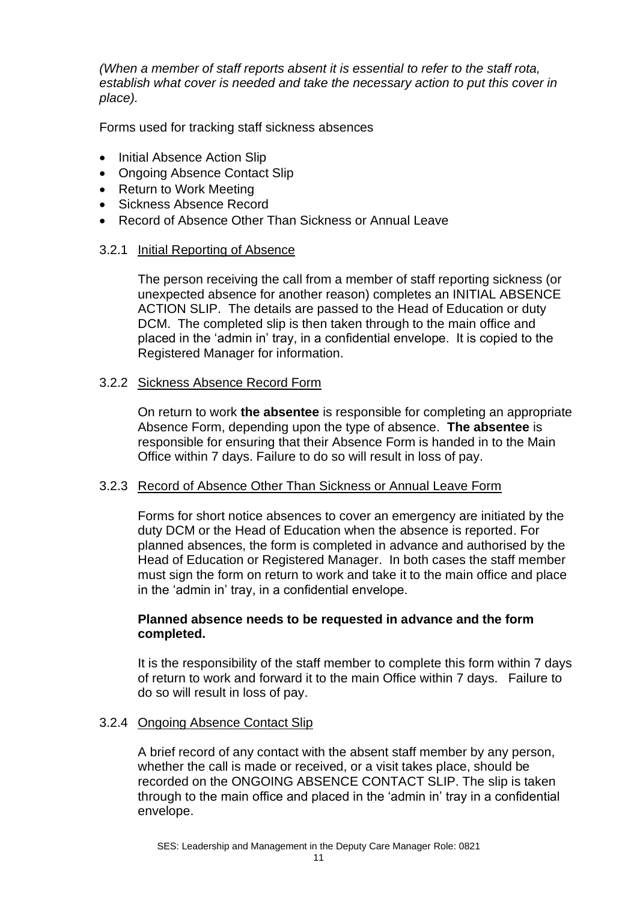*(When a member of staff reports absent it is essential to refer to the staff rota, establish what cover is needed and take the necessary action to put this cover in place).* 

Forms used for tracking staff sickness absences

- Initial Absence Action Slip
- Ongoing Absence Contact Slip
- Return to Work Meeting
- Sickness Absence Record
- Record of Absence Other Than Sickness or Annual Leave

## 3.2.1 Initial Reporting of Absence

The person receiving the call from a member of staff reporting sickness (or unexpected absence for another reason) completes an INITIAL ABSENCE ACTION SLIP. The details are passed to the Head of Education or duty DCM. The completed slip is then taken through to the main office and placed in the 'admin in' tray, in a confidential envelope. It is copied to the Registered Manager for information.

#### 3.2.2 Sickness Absence Record Form

On return to work **the absentee** is responsible for completing an appropriate Absence Form, depending upon the type of absence. **The absentee** is responsible for ensuring that their Absence Form is handed in to the Main Office within 7 days. Failure to do so will result in loss of pay.

## 3.2.3 Record of Absence Other Than Sickness or Annual Leave Form

Forms for short notice absences to cover an emergency are initiated by the duty DCM or the Head of Education when the absence is reported. For planned absences, the form is completed in advance and authorised by the Head of Education or Registered Manager. In both cases the staff member must sign the form on return to work and take it to the main office and place in the 'admin in' tray, in a confidential envelope.

#### **Planned absence needs to be requested in advance and the form completed.**

It is the responsibility of the staff member to complete this form within 7 days of return to work and forward it to the main Office within 7 days. Failure to do so will result in loss of pay.

## 3.2.4 Ongoing Absence Contact Slip

A brief record of any contact with the absent staff member by any person, whether the call is made or received, or a visit takes place, should be recorded on the ONGOING ABSENCE CONTACT SLIP. The slip is taken through to the main office and placed in the 'admin in' tray in a confidential envelope.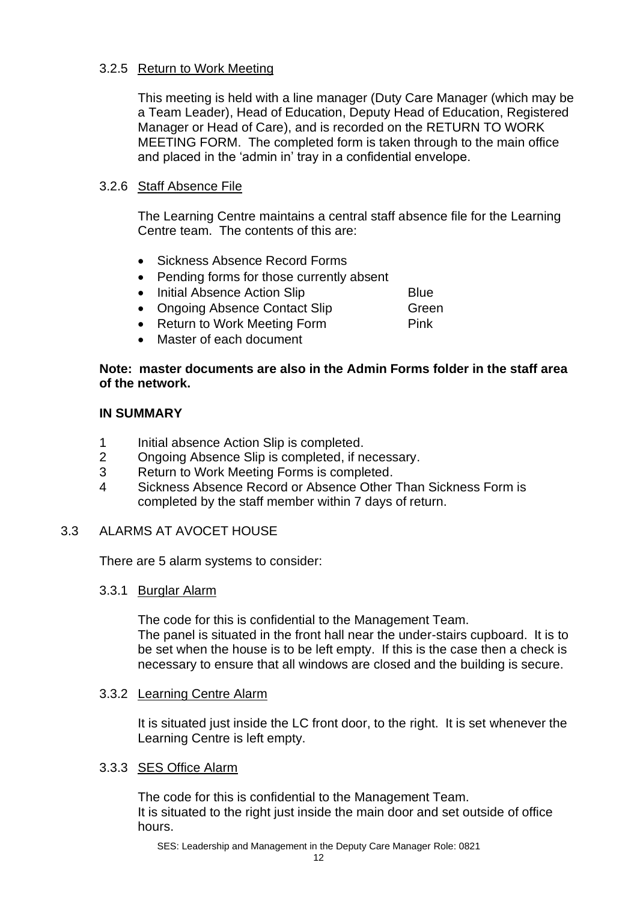## 3.2.5 Return to Work Meeting

This meeting is held with a line manager (Duty Care Manager (which may be a Team Leader), Head of Education, Deputy Head of Education, Registered Manager or Head of Care), and is recorded on the RETURN TO WORK MEETING FORM. The completed form is taken through to the main office and placed in the 'admin in' tray in a confidential envelope.

## 3.2.6 Staff Absence File

The Learning Centre maintains a central staff absence file for the Learning Centre team. The contents of this are:

- Sickness Absence Record Forms
- Pending forms for those currently absent
- Initial Absence Action Slip **Blue**

• Ongoing Absence Contact Slip Green

- Return to Work Meeting Form Pink
- Master of each document

## **Note: master documents are also in the Admin Forms folder in the staff area of the network.**

#### **IN SUMMARY**

- 1 Initial absence Action Slip is completed.
- 2 Ongoing Absence Slip is completed, if necessary.
- 3 Return to Work Meeting Forms is completed.
- 4 Sickness Absence Record or Absence Other Than Sickness Form is completed by the staff member within 7 days of return.

## 3.3 ALARMS AT AVOCET HOUSE

There are 5 alarm systems to consider:

## 3.3.1 Burglar Alarm

The code for this is confidential to the Management Team. The panel is situated in the front hall near the under-stairs cupboard. It is to be set when the house is to be left empty. If this is the case then a check is necessary to ensure that all windows are closed and the building is secure.

## 3.3.2 Learning Centre Alarm

It is situated just inside the LC front door, to the right. It is set whenever the Learning Centre is left empty.

## 3.3.3 SES Office Alarm

The code for this is confidential to the Management Team. It is situated to the right just inside the main door and set outside of office hours.

SES: Leadership and Management in the Deputy Care Manager Role: 0821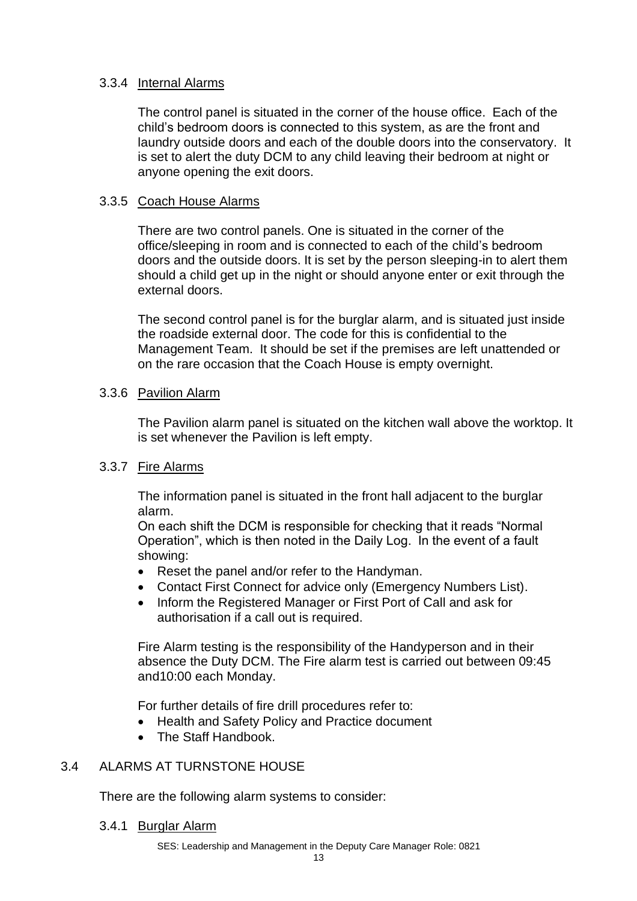## 3.3.4 Internal Alarms

The control panel is situated in the corner of the house office. Each of the child's bedroom doors is connected to this system, as are the front and laundry outside doors and each of the double doors into the conservatory. It is set to alert the duty DCM to any child leaving their bedroom at night or anyone opening the exit doors.

## 3.3.5 Coach House Alarms

There are two control panels. One is situated in the corner of the office/sleeping in room and is connected to each of the child's bedroom doors and the outside doors. It is set by the person sleeping-in to alert them should a child get up in the night or should anyone enter or exit through the external doors.

The second control panel is for the burglar alarm, and is situated just inside the roadside external door. The code for this is confidential to the Management Team. It should be set if the premises are left unattended or on the rare occasion that the Coach House is empty overnight.

## 3.3.6 Pavilion Alarm

The Pavilion alarm panel is situated on the kitchen wall above the worktop. It is set whenever the Pavilion is left empty.

## 3.3.7 Fire Alarms

The information panel is situated in the front hall adjacent to the burglar alarm.

On each shift the DCM is responsible for checking that it reads "Normal Operation", which is then noted in the Daily Log. In the event of a fault showing:

- Reset the panel and/or refer to the Handyman.
- Contact First Connect for advice only (Emergency Numbers List).
- Inform the Registered Manager or First Port of Call and ask for authorisation if a call out is required.

Fire Alarm testing is the responsibility of the Handyperson and in their absence the Duty DCM. The Fire alarm test is carried out between 09:45 and10:00 each Monday.

For further details of fire drill procedures refer to:

- Health and Safety Policy and Practice document
- The Staff Handbook.

## 3.4 ALARMS AT TURNSTONE HOUSE

There are the following alarm systems to consider:

3.4.1 Burglar Alarm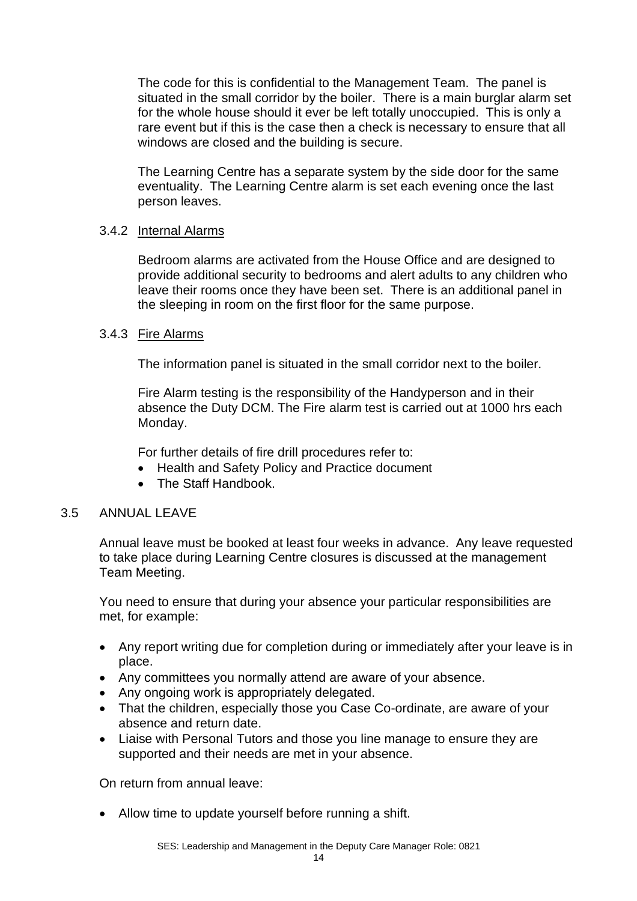The code for this is confidential to the Management Team. The panel is situated in the small corridor by the boiler. There is a main burglar alarm set for the whole house should it ever be left totally unoccupied. This is only a rare event but if this is the case then a check is necessary to ensure that all windows are closed and the building is secure.

The Learning Centre has a separate system by the side door for the same eventuality. The Learning Centre alarm is set each evening once the last person leaves.

## 3.4.2 Internal Alarms

Bedroom alarms are activated from the House Office and are designed to provide additional security to bedrooms and alert adults to any children who leave their rooms once they have been set. There is an additional panel in the sleeping in room on the first floor for the same purpose.

## 3.4.3 Fire Alarms

The information panel is situated in the small corridor next to the boiler.

Fire Alarm testing is the responsibility of the Handyperson and in their absence the Duty DCM. The Fire alarm test is carried out at 1000 hrs each Monday.

For further details of fire drill procedures refer to:

- Health and Safety Policy and Practice document
- The Staff Handbook.

## 3.5 ANNUAL LEAVE

Annual leave must be booked at least four weeks in advance. Any leave requested to take place during Learning Centre closures is discussed at the management Team Meeting.

You need to ensure that during your absence your particular responsibilities are met, for example:

- Any report writing due for completion during or immediately after your leave is in place.
- Any committees you normally attend are aware of your absence.
- Any ongoing work is appropriately delegated.
- That the children, especially those you Case Co-ordinate, are aware of your absence and return date.
- Liaise with Personal Tutors and those you line manage to ensure they are supported and their needs are met in your absence.

On return from annual leave:

• Allow time to update yourself before running a shift.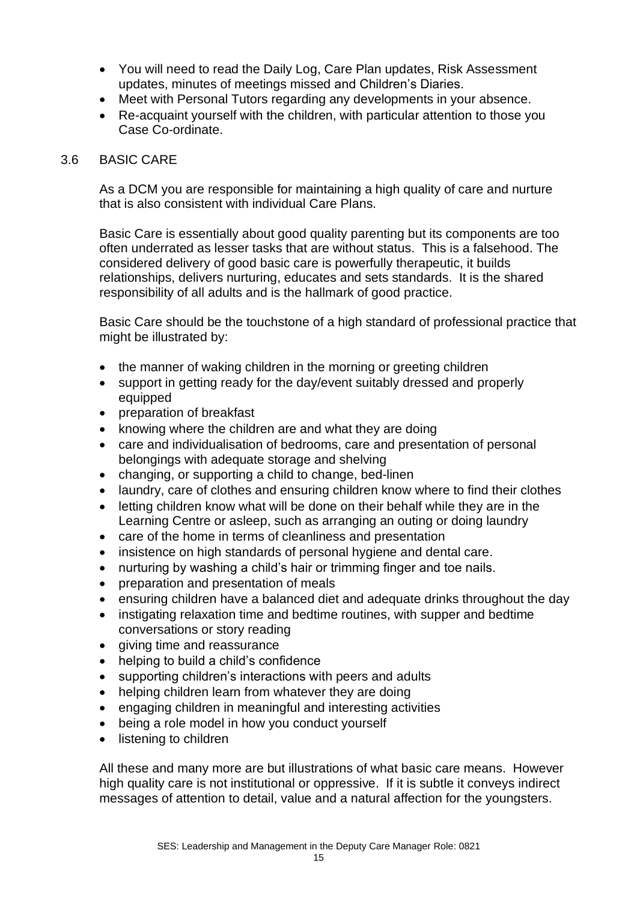- You will need to read the Daily Log, Care Plan updates, Risk Assessment updates, minutes of meetings missed and Children's Diaries.
- Meet with Personal Tutors regarding any developments in your absence.
- Re-acquaint yourself with the children, with particular attention to those you Case Co-ordinate.

#### 3.6 BASIC CARE

As a DCM you are responsible for maintaining a high quality of care and nurture that is also consistent with individual Care Plans.

Basic Care is essentially about good quality parenting but its components are too often underrated as lesser tasks that are without status. This is a falsehood. The considered delivery of good basic care is powerfully therapeutic, it builds relationships, delivers nurturing, educates and sets standards. It is the shared responsibility of all adults and is the hallmark of good practice.

Basic Care should be the touchstone of a high standard of professional practice that might be illustrated by:

- the manner of waking children in the morning or greeting children
- support in getting ready for the day/event suitably dressed and properly equipped
- preparation of breakfast
- knowing where the children are and what they are doing
- care and individualisation of bedrooms, care and presentation of personal belongings with adequate storage and shelving
- changing, or supporting a child to change, bed-linen
- laundry, care of clothes and ensuring children know where to find their clothes
- letting children know what will be done on their behalf while they are in the Learning Centre or asleep, such as arranging an outing or doing laundry
- care of the home in terms of cleanliness and presentation
- insistence on high standards of personal hygiene and dental care.
- nurturing by washing a child's hair or trimming finger and toe nails.
- preparation and presentation of meals
- ensuring children have a balanced diet and adequate drinks throughout the day
- instigating relaxation time and bedtime routines, with supper and bedtime conversations or story reading
- giving time and reassurance
- helping to build a child's confidence
- supporting children's interactions with peers and adults
- helping children learn from whatever they are doing
- engaging children in meaningful and interesting activities
- being a role model in how you conduct yourself
- listening to children

All these and many more are but illustrations of what basic care means. However high quality care is not institutional or oppressive. If it is subtle it conveys indirect messages of attention to detail, value and a natural affection for the youngsters.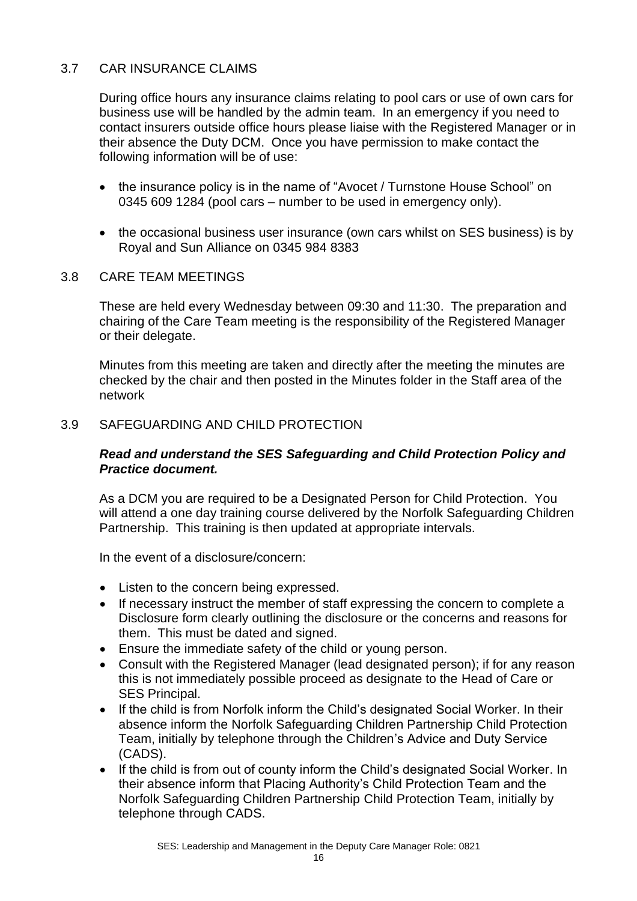## 3.7 CAR INSURANCE CLAIMS

During office hours any insurance claims relating to pool cars or use of own cars for business use will be handled by the admin team. In an emergency if you need to contact insurers outside office hours please liaise with the Registered Manager or in their absence the Duty DCM. Once you have permission to make contact the following information will be of use:

- the insurance policy is in the name of "Avocet / Turnstone House School" on 0345 609 1284 (pool cars – number to be used in emergency only).
- the occasional business user insurance (own cars whilst on SES business) is by Royal and Sun Alliance on 0345 984 8383

## 3.8 CARE TEAM MEETINGS

These are held every Wednesday between 09:30 and 11:30. The preparation and chairing of the Care Team meeting is the responsibility of the Registered Manager or their delegate.

Minutes from this meeting are taken and directly after the meeting the minutes are checked by the chair and then posted in the Minutes folder in the Staff area of the network

## 3.9 SAFEGUARDING AND CHILD PROTECTION

## *Read and understand the SES Safeguarding and Child Protection Policy and Practice document.*

As a DCM you are required to be a Designated Person for Child Protection. You will attend a one day training course delivered by the Norfolk Safeguarding Children Partnership. This training is then updated at appropriate intervals.

In the event of a disclosure/concern:

- Listen to the concern being expressed.
- If necessary instruct the member of staff expressing the concern to complete a Disclosure form clearly outlining the disclosure or the concerns and reasons for them. This must be dated and signed.
- Ensure the immediate safety of the child or young person.
- Consult with the Registered Manager (lead designated person); if for any reason this is not immediately possible proceed as designate to the Head of Care or SES Principal.
- If the child is from Norfolk inform the Child's designated Social Worker. In their absence inform the Norfolk Safeguarding Children Partnership Child Protection Team, initially by telephone through the Children's Advice and Duty Service (CADS).
- If the child is from out of county inform the Child's designated Social Worker. In their absence inform that Placing Authority's Child Protection Team and the Norfolk Safeguarding Children Partnership Child Protection Team, initially by telephone through CADS.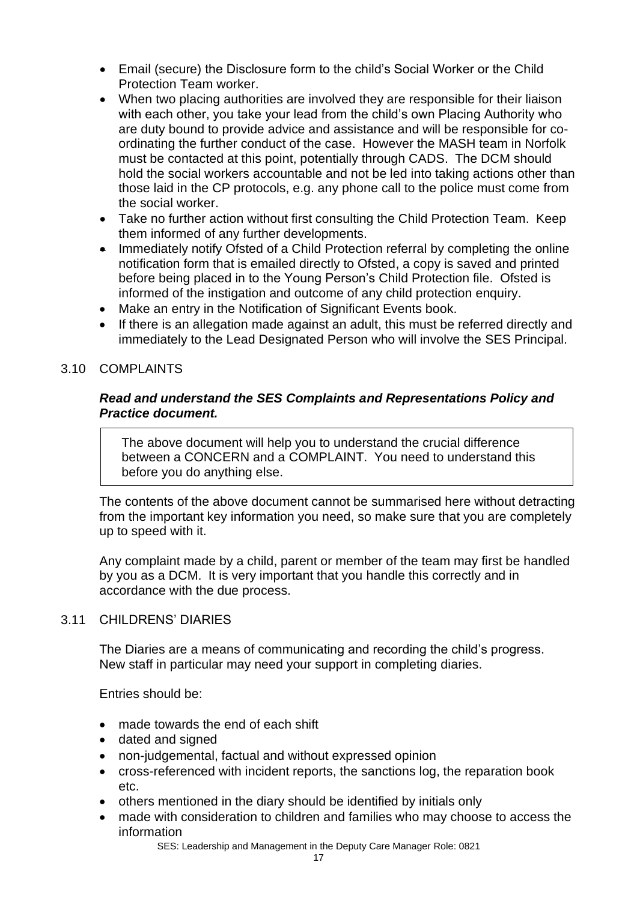- Email (secure) the Disclosure form to the child's Social Worker or the Child Protection Team worker.
- When two placing authorities are involved they are responsible for their liaison with each other, you take your lead from the child's own Placing Authority who are duty bound to provide advice and assistance and will be responsible for coordinating the further conduct of the case. However the MASH team in Norfolk must be contacted at this point, potentially through CADS. The DCM should hold the social workers accountable and not be led into taking actions other than those laid in the CP protocols, e.g. any phone call to the police must come from the social worker.
- Take no further action without first consulting the Child Protection Team. Keep them informed of any further developments.
- Immediately notify Ofsted of a Child Protection referral by completing the online notification form that is emailed directly to Ofsted, a copy is saved and printed before being placed in to the Young Person's Child Protection file. Ofsted is informed of the instigation and outcome of any child protection enquiry.
- Make an entry in the Notification of Significant Events book.
- If there is an allegation made against an adult, this must be referred directly and immediately to the Lead Designated Person who will involve the SES Principal.

## 3.10 COMPLAINTS

## *Read and understand the SES Complaints and Representations Policy and Practice document.*

The above document will help you to understand the crucial difference between a CONCERN and a COMPLAINT. You need to understand this before you do anything else.

The contents of the above document cannot be summarised here without detracting from the important key information you need, so make sure that you are completely up to speed with it.

Any complaint made by a child, parent or member of the team may first be handled by you as a DCM. It is very important that you handle this correctly and in accordance with the due process.

## 3.11 CHILDRENS' DIARIES

The Diaries are a means of communicating and recording the child's progress. New staff in particular may need your support in completing diaries.

Entries should be:

- made towards the end of each shift
- dated and signed
- non-judgemental, factual and without expressed opinion
- cross-referenced with incident reports, the sanctions log, the reparation book etc.
- others mentioned in the diary should be identified by initials only
- made with consideration to children and families who may choose to access the information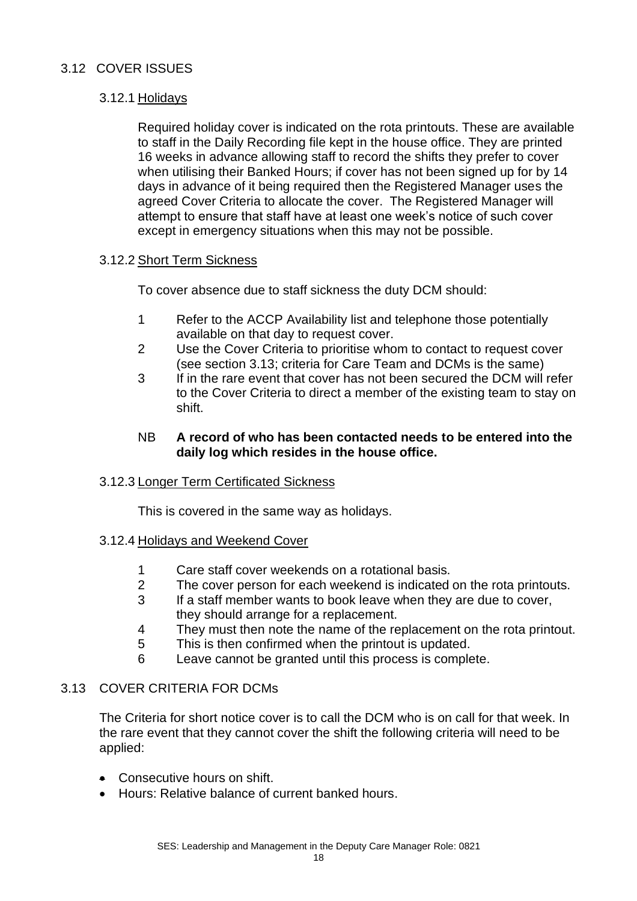## 3.12 COVER ISSUES

## 3.12.1 Holidays

Required holiday cover is indicated on the rota printouts. These are available to staff in the Daily Recording file kept in the house office. They are printed 16 weeks in advance allowing staff to record the shifts they prefer to cover when utilising their Banked Hours; if cover has not been signed up for by 14 days in advance of it being required then the Registered Manager uses the agreed Cover Criteria to allocate the cover. The Registered Manager will attempt to ensure that staff have at least one week's notice of such cover except in emergency situations when this may not be possible.

## 3.12.2 Short Term Sickness

To cover absence due to staff sickness the duty DCM should:

- 1 Refer to the ACCP Availability list and telephone those potentially available on that day to request cover.
- 2 Use the Cover Criteria to prioritise whom to contact to request cover (see section 3.13; criteria for Care Team and DCMs is the same)
- 3 If in the rare event that cover has not been secured the DCM will refer to the Cover Criteria to direct a member of the existing team to stay on shift.

#### NB **A record of who has been contacted needs to be entered into the daily log which resides in the house office.**

## 3.12.3 Longer Term Certificated Sickness

This is covered in the same way as holidays.

## 3.12.4 Holidays and Weekend Cover

- 1 Care staff cover weekends on a rotational basis.
- 2 The cover person for each weekend is indicated on the rota printouts.
- 3 If a staff member wants to book leave when they are due to cover, they should arrange for a replacement.
- 4 They must then note the name of the replacement on the rota printout.
- 5 This is then confirmed when the printout is updated.
- 6 Leave cannot be granted until this process is complete.

## 3.13 COVER CRITERIA FOR DCMs

The Criteria for short notice cover is to call the DCM who is on call for that week. In the rare event that they cannot cover the shift the following criteria will need to be applied:

- Consecutive hours on shift.
- Hours: Relative balance of current banked hours.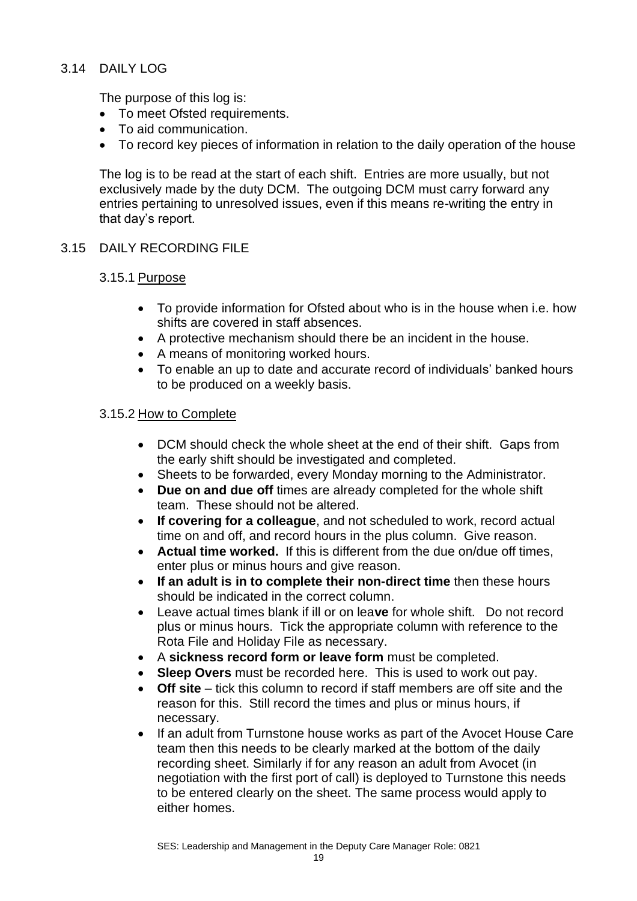## 3.14 DAILY LOG

The purpose of this log is:

- To meet Ofsted requirements.
- To aid communication.
- To record key pieces of information in relation to the daily operation of the house

The log is to be read at the start of each shift. Entries are more usually, but not exclusively made by the duty DCM. The outgoing DCM must carry forward any entries pertaining to unresolved issues, even if this means re-writing the entry in that day's report.

## 3.15 DAILY RECORDING FILE

## 3.15.1 Purpose

- To provide information for Ofsted about who is in the house when i.e. how shifts are covered in staff absences.
- A protective mechanism should there be an incident in the house.
- A means of monitoring worked hours.
- To enable an up to date and accurate record of individuals' banked hours to be produced on a weekly basis.

## 3.15.2 How to Complete

- DCM should check the whole sheet at the end of their shift. Gaps from the early shift should be investigated and completed.
- Sheets to be forwarded, every Monday morning to the Administrator.
- **Due on and due off** times are already completed for the whole shift team. These should not be altered.
- **If covering for a colleague**, and not scheduled to work, record actual time on and off, and record hours in the plus column. Give reason.
- **Actual time worked.** If this is different from the due on/due off times, enter plus or minus hours and give reason.
- **If an adult is in to complete their non-direct time** then these hours should be indicated in the correct column.
- Leave actual times blank if ill or on lea**ve** for whole shift. Do not record plus or minus hours. Tick the appropriate column with reference to the Rota File and Holiday File as necessary.
- A **sickness record form or leave form** must be completed.
- **Sleep Overs** must be recorded here. This is used to work out pay.
- **Off site** tick this column to record if staff members are off site and the reason for this. Still record the times and plus or minus hours, if necessary.
- If an adult from Turnstone house works as part of the Avocet House Care team then this needs to be clearly marked at the bottom of the daily recording sheet. Similarly if for any reason an adult from Avocet (in negotiation with the first port of call) is deployed to Turnstone this needs to be entered clearly on the sheet. The same process would apply to either homes.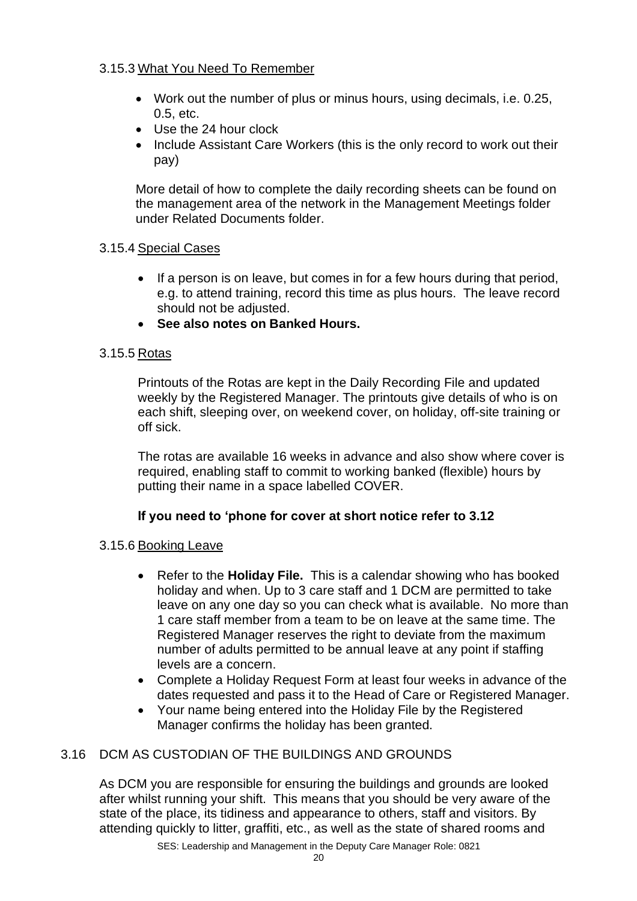## 3.15.3 What You Need To Remember

- Work out the number of plus or minus hours, using decimals, i.e. 0.25, 0.5, etc.
- Use the 24 hour clock
- Include Assistant Care Workers (this is the only record to work out their pay)

More detail of how to complete the daily recording sheets can be found on the management area of the network in the Management Meetings folder under Related Documents folder.

## 3.15.4 Special Cases

- If a person is on leave, but comes in for a few hours during that period, e.g. to attend training, record this time as plus hours. The leave record should not be adjusted.
- **See also notes on Banked Hours.**

## 3.15.5 Rotas

Printouts of the Rotas are kept in the Daily Recording File and updated weekly by the Registered Manager. The printouts give details of who is on each shift, sleeping over, on weekend cover, on holiday, off-site training or off sick.

The rotas are available 16 weeks in advance and also show where cover is required, enabling staff to commit to working banked (flexible) hours by putting their name in a space labelled COVER.

## **If you need to 'phone for cover at short notice refer to 3.12**

## 3.15.6 Booking Leave

- Refer to the **Holiday File.** This is a calendar showing who has booked holiday and when. Up to 3 care staff and 1 DCM are permitted to take leave on any one day so you can check what is available. No more than 1 care staff member from a team to be on leave at the same time. The Registered Manager reserves the right to deviate from the maximum number of adults permitted to be annual leave at any point if staffing levels are a concern.
- Complete a Holiday Request Form at least four weeks in advance of the dates requested and pass it to the Head of Care or Registered Manager.
- Your name being entered into the Holiday File by the Registered Manager confirms the holiday has been granted.

## 3.16 DCM AS CUSTODIAN OF THE BUILDINGS AND GROUNDS

As DCM you are responsible for ensuring the buildings and grounds are looked after whilst running your shift. This means that you should be very aware of the state of the place, its tidiness and appearance to others, staff and visitors. By attending quickly to litter, graffiti, etc., as well as the state of shared rooms and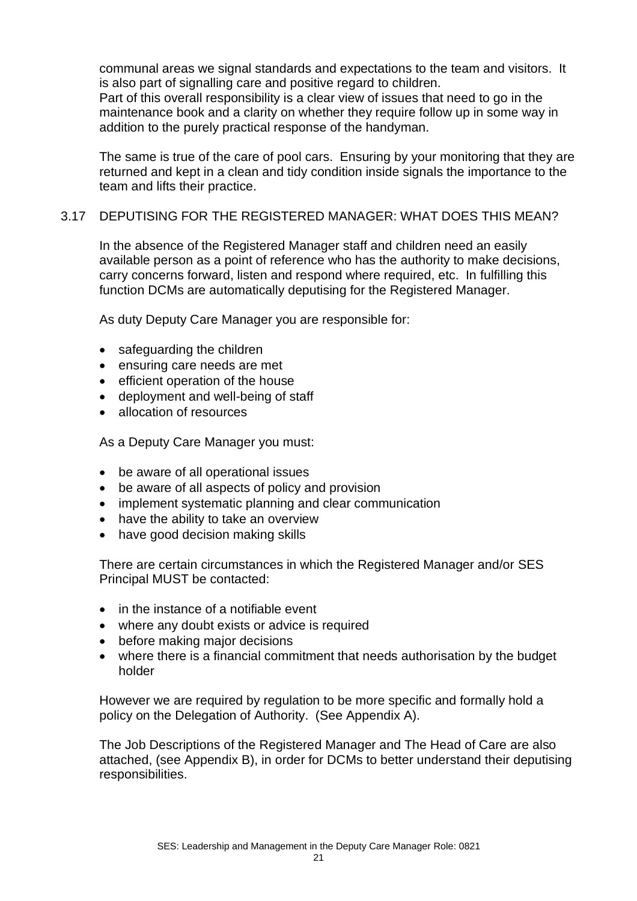communal areas we signal standards and expectations to the team and visitors. It is also part of signalling care and positive regard to children.

Part of this overall responsibility is a clear view of issues that need to go in the maintenance book and a clarity on whether they require follow up in some way in addition to the purely practical response of the handyman.

The same is true of the care of pool cars. Ensuring by your monitoring that they are returned and kept in a clean and tidy condition inside signals the importance to the team and lifts their practice.

## 3.17 DEPUTISING FOR THE REGISTERED MANAGER: WHAT DOES THIS MEAN?

In the absence of the Registered Manager staff and children need an easily available person as a point of reference who has the authority to make decisions, carry concerns forward, listen and respond where required, etc. In fulfilling this function DCMs are automatically deputising for the Registered Manager.

As duty Deputy Care Manager you are responsible for:

- safeguarding the children
- ensuring care needs are met
- efficient operation of the house
- deployment and well-being of staff
- allocation of resources

As a Deputy Care Manager you must:

- be aware of all operational issues
- be aware of all aspects of policy and provision
- implement systematic planning and clear communication
- have the ability to take an overview
- have good decision making skills

There are certain circumstances in which the Registered Manager and/or SES Principal MUST be contacted:

- in the instance of a notifiable event
- where any doubt exists or advice is required
- before making major decisions
- where there is a financial commitment that needs authorisation by the budget holder

However we are required by regulation to be more specific and formally hold a policy on the Delegation of Authority. (See Appendix A).

The Job Descriptions of the Registered Manager and The Head of Care are also attached, (see Appendix B), in order for DCMs to better understand their deputising responsibilities.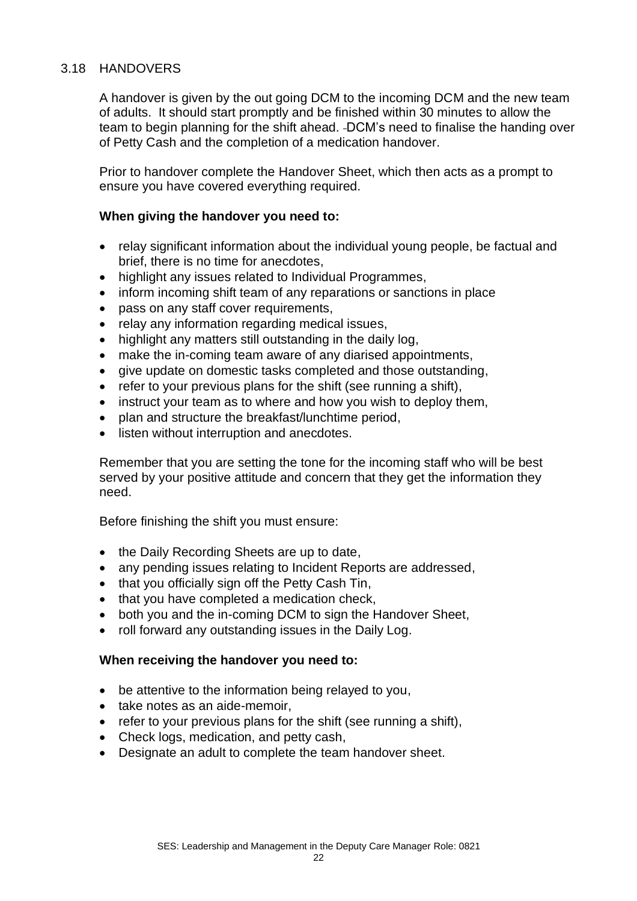## 3.18 HANDOVERS

A handover is given by the out going DCM to the incoming DCM and the new team of adults. It should start promptly and be finished within 30 minutes to allow the team to begin planning for the shift ahead. -DCM's need to finalise the handing over of Petty Cash and the completion of a medication handover.

Prior to handover complete the Handover Sheet, which then acts as a prompt to ensure you have covered everything required.

## **When giving the handover you need to:**

- relay significant information about the individual young people, be factual and brief, there is no time for anecdotes,
- highlight any issues related to Individual Programmes,
- inform incoming shift team of any reparations or sanctions in place
- pass on any staff cover requirements,
- relay any information regarding medical issues,
- highlight any matters still outstanding in the daily log.
- make the in-coming team aware of any diarised appointments,
- give update on domestic tasks completed and those outstanding,
- refer to your previous plans for the shift (see running a shift),
- instruct your team as to where and how you wish to deploy them.
- plan and structure the breakfast/lunchtime period,
- listen without interruption and anecdotes.

Remember that you are setting the tone for the incoming staff who will be best served by your positive attitude and concern that they get the information they need.

Before finishing the shift you must ensure:

- the Daily Recording Sheets are up to date,
- any pending issues relating to Incident Reports are addressed,
- that you officially sign off the Petty Cash Tin,
- that you have completed a medication check,
- both you and the in-coming DCM to sign the Handover Sheet,
- roll forward any outstanding issues in the Daily Log.

## **When receiving the handover you need to:**

- be attentive to the information being relayed to you,
- take notes as an aide-memoir,
- refer to your previous plans for the shift (see running a shift),
- Check logs, medication, and petty cash,
- Designate an adult to complete the team handover sheet.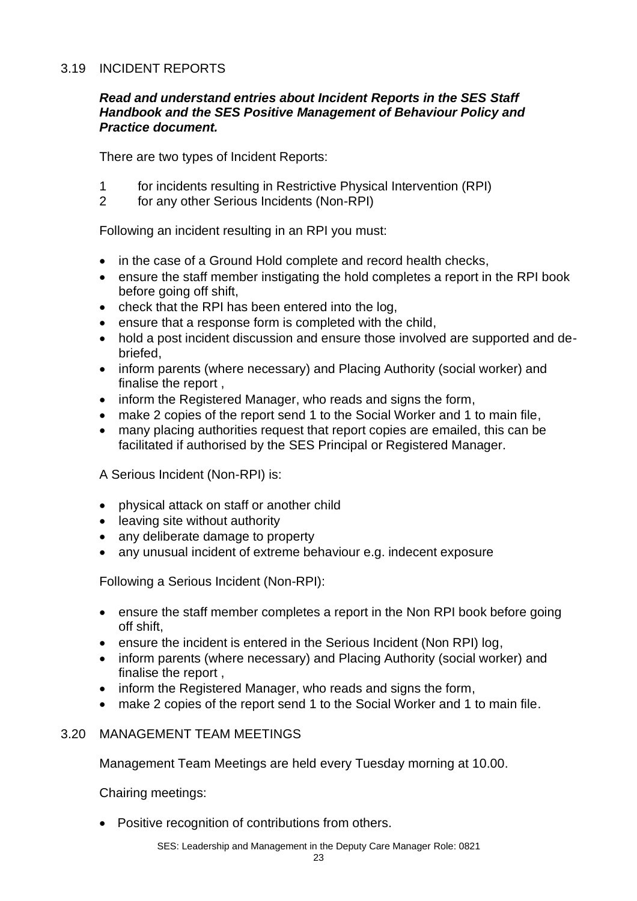## 3.19 INCIDENT REPORTS

#### *Read and understand entries about Incident Reports in the SES Staff Handbook and the SES Positive Management of Behaviour Policy and Practice document.*

There are two types of Incident Reports:

- 1 for incidents resulting in Restrictive Physical Intervention (RPI)
- 2 for any other Serious Incidents (Non-RPI)

Following an incident resulting in an RPI you must:

- in the case of a Ground Hold complete and record health checks,
- ensure the staff member instigating the hold completes a report in the RPI book before going off shift,
- check that the RPI has been entered into the log,
- ensure that a response form is completed with the child,
- hold a post incident discussion and ensure those involved are supported and debriefed,
- inform parents (where necessary) and Placing Authority (social worker) and finalise the report ,
- inform the Registered Manager, who reads and signs the form,
- make 2 copies of the report send 1 to the Social Worker and 1 to main file,
- many placing authorities request that report copies are emailed, this can be facilitated if authorised by the SES Principal or Registered Manager.

A Serious Incident (Non-RPI) is:

- physical attack on staff or another child
- leaving site without authority
- any deliberate damage to property
- any unusual incident of extreme behaviour e.g. indecent exposure

Following a Serious Incident (Non-RPI):

- ensure the staff member completes a report in the Non RPI book before going off shift,
- ensure the incident is entered in the Serious Incident (Non RPI) log,
- inform parents (where necessary) and Placing Authority (social worker) and finalise the report ,
- inform the Registered Manager, who reads and signs the form,
- make 2 copies of the report send 1 to the Social Worker and 1 to main file.

## 3.20 MANAGEMENT TEAM MEETINGS

Management Team Meetings are held every Tuesday morning at 10.00.

Chairing meetings:

• Positive recognition of contributions from others.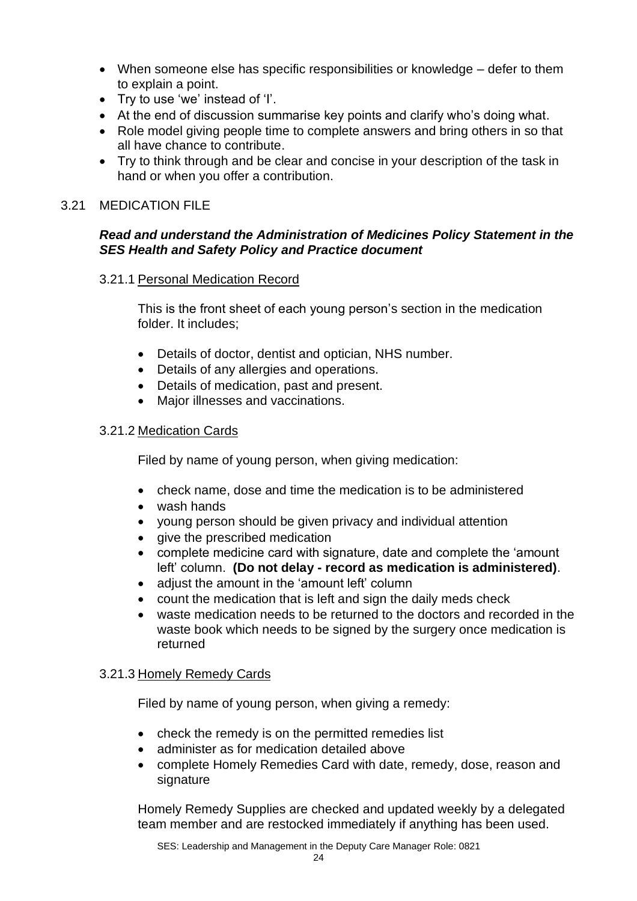- When someone else has specific responsibilities or knowledge defer to them to explain a point.
- Try to use 'we' instead of 'I'.
- At the end of discussion summarise key points and clarify who's doing what.
- Role model giving people time to complete answers and bring others in so that all have chance to contribute.
- Try to think through and be clear and concise in your description of the task in hand or when you offer a contribution.

## 3.21 MEDICATION FILE

## *Read and understand the Administration of Medicines Policy Statement in the SES Health and Safety Policy and Practice document*

## 3.21.1 Personal Medication Record

This is the front sheet of each young person's section in the medication folder. It includes;

- Details of doctor, dentist and optician, NHS number.
- Details of any allergies and operations.
- Details of medication, past and present.
- Major illnesses and vaccinations.

## 3.21.2 Medication Cards

Filed by name of young person, when giving medication:

- check name, dose and time the medication is to be administered
- wash hands
- young person should be given privacy and individual attention
- give the prescribed medication
- complete medicine card with signature, date and complete the 'amount left' column. **(Do not delay - record as medication is administered)**.
- adjust the amount in the 'amount left' column
- count the medication that is left and sign the daily meds check
- waste medication needs to be returned to the doctors and recorded in the waste book which needs to be signed by the surgery once medication is returned

## 3.21.3 Homely Remedy Cards

Filed by name of young person, when giving a remedy:

- check the remedy is on the permitted remedies list
- administer as for medication detailed above
- complete Homely Remedies Card with date, remedy, dose, reason and signature

Homely Remedy Supplies are checked and updated weekly by a delegated team member and are restocked immediately if anything has been used.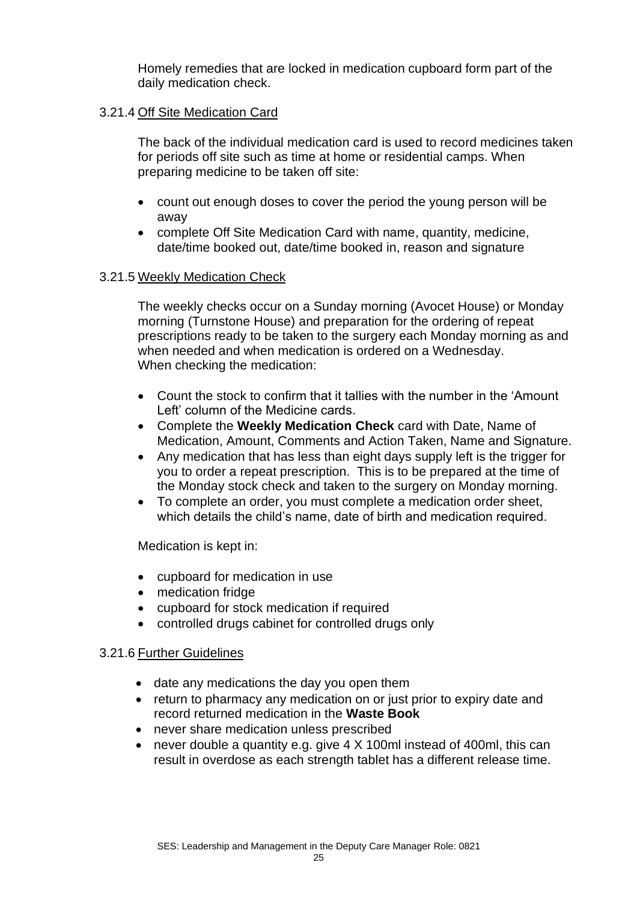Homely remedies that are locked in medication cupboard form part of the daily medication check.

## 3.21.4 Off Site Medication Card

The back of the individual medication card is used to record medicines taken for periods off site such as time at home or residential camps. When preparing medicine to be taken off site:

- count out enough doses to cover the period the young person will be away
- complete Off Site Medication Card with name, quantity, medicine, date/time booked out, date/time booked in, reason and signature

## 3.21.5 Weekly Medication Check

The weekly checks occur on a Sunday morning (Avocet House) or Monday morning (Turnstone House) and preparation for the ordering of repeat prescriptions ready to be taken to the surgery each Monday morning as and when needed and when medication is ordered on a Wednesday. When checking the medication:

- Count the stock to confirm that it tallies with the number in the 'Amount Left' column of the Medicine cards.
- Complete the **Weekly Medication Check** card with Date, Name of Medication, Amount, Comments and Action Taken, Name and Signature.
- Any medication that has less than eight days supply left is the trigger for you to order a repeat prescription. This is to be prepared at the time of the Monday stock check and taken to the surgery on Monday morning.
- To complete an order, you must complete a medication order sheet, which details the child's name, date of birth and medication required.

Medication is kept in:

- cupboard for medication in use
- medication fridge
- cupboard for stock medication if required
- controlled drugs cabinet for controlled drugs only

## 3.21.6 Further Guidelines

- date any medications the day you open them
- return to pharmacy any medication on or just prior to expiry date and record returned medication in the **Waste Book**
- never share medication unless prescribed
- never double a quantity e.g. give 4 X 100ml instead of 400ml, this can result in overdose as each strength tablet has a different release time.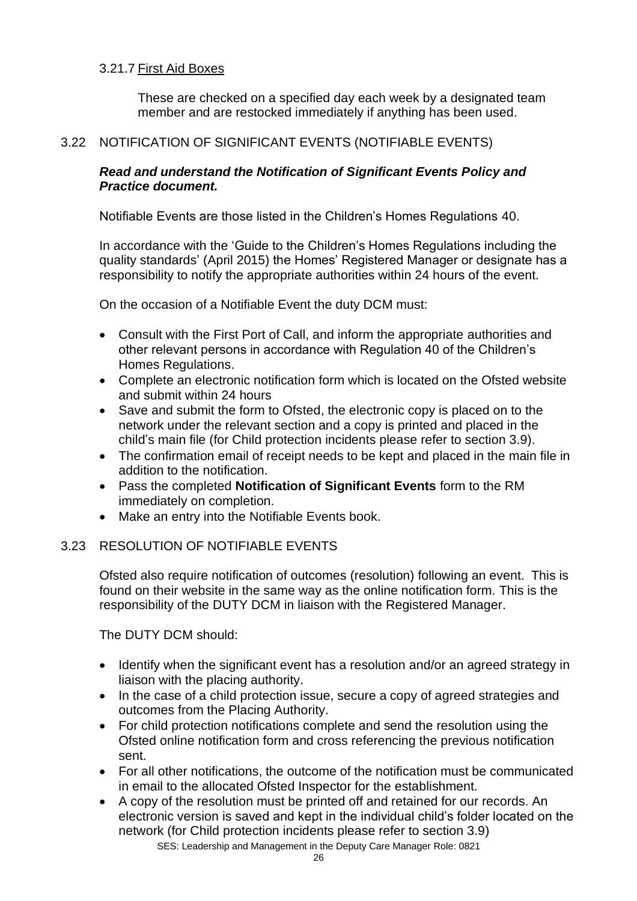## 3.21.7 First Aid Boxes

These are checked on a specified day each week by a designated team member and are restocked immediately if anything has been used.

## 3.22 NOTIFICATION OF SIGNIFICANT EVENTS (NOTIFIABLE EVENTS)

## *Read and understand the Notification of Significant Events Policy and Practice document.*

Notifiable Events are those listed in the Children's Homes Regulations 40.

In accordance with the 'Guide to the Children's Homes Regulations including the quality standards' (April 2015) the Homes' Registered Manager or designate has a responsibility to notify the appropriate authorities within 24 hours of the event.

On the occasion of a Notifiable Event the duty DCM must:

- Consult with the First Port of Call, and inform the appropriate authorities and other relevant persons in accordance with Regulation 40 of the Children's Homes Regulations.
- Complete an electronic notification form which is located on the Ofsted website and submit within 24 hours
- Save and submit the form to Ofsted, the electronic copy is placed on to the network under the relevant section and a copy is printed and placed in the child's main file (for Child protection incidents please refer to section 3.9).
- The confirmation email of receipt needs to be kept and placed in the main file in addition to the notification.
- Pass the completed **Notification of Significant Events** form to the RM immediately on completion.
- Make an entry into the Notifiable Events book.

## 3.23 RESOLUTION OF NOTIFIABLE EVENTS

Ofsted also require notification of outcomes (resolution) following an event. This is found on their website in the same way as the online notification form. This is the responsibility of the DUTY DCM in liaison with the Registered Manager.

The DUTY DCM should:

- Identify when the significant event has a resolution and/or an agreed strategy in liaison with the placing authority.
- In the case of a child protection issue, secure a copy of agreed strategies and outcomes from the Placing Authority.
- For child protection notifications complete and send the resolution using the Ofsted online notification form and cross referencing the previous notification sent.
- For all other notifications, the outcome of the notification must be communicated in email to the allocated Ofsted Inspector for the establishment.
- A copy of the resolution must be printed off and retained for our records. An electronic version is saved and kept in the individual child's folder located on the network (for Child protection incidents please refer to section 3.9)

SES: Leadership and Management in the Deputy Care Manager Role: 0821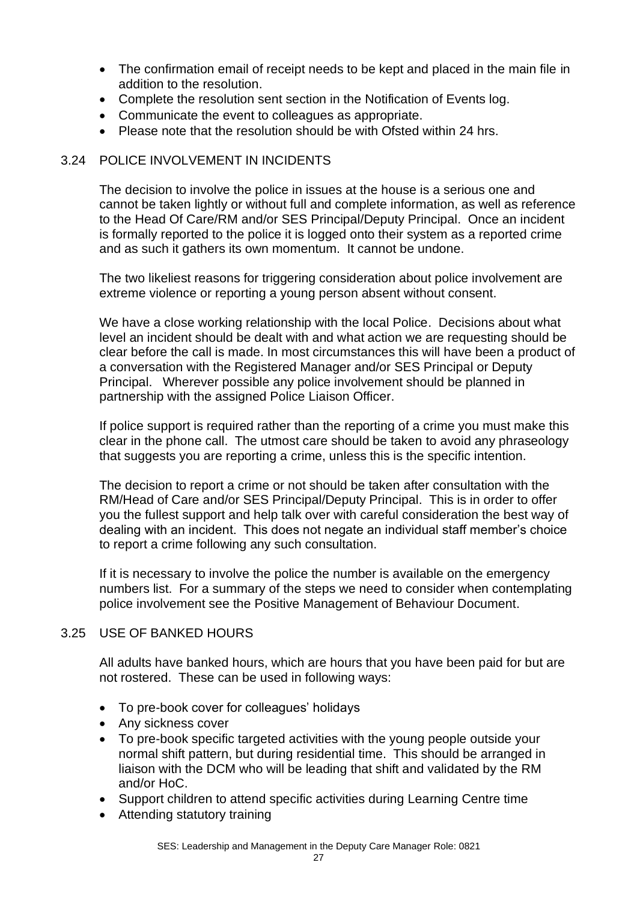- The confirmation email of receipt needs to be kept and placed in the main file in addition to the resolution.
- Complete the resolution sent section in the Notification of Events log.
- Communicate the event to colleagues as appropriate.
- Please note that the resolution should be with Ofsted within 24 hrs.

## 3.24 POLICE INVOLVEMENT IN INCIDENTS

The decision to involve the police in issues at the house is a serious one and cannot be taken lightly or without full and complete information, as well as reference to the Head Of Care/RM and/or SES Principal/Deputy Principal. Once an incident is formally reported to the police it is logged onto their system as a reported crime and as such it gathers its own momentum. It cannot be undone.

The two likeliest reasons for triggering consideration about police involvement are extreme violence or reporting a young person absent without consent.

We have a close working relationship with the local Police. Decisions about what level an incident should be dealt with and what action we are requesting should be clear before the call is made. In most circumstances this will have been a product of a conversation with the Registered Manager and/or SES Principal or Deputy Principal. Wherever possible any police involvement should be planned in partnership with the assigned Police Liaison Officer.

If police support is required rather than the reporting of a crime you must make this clear in the phone call. The utmost care should be taken to avoid any phraseology that suggests you are reporting a crime, unless this is the specific intention.

The decision to report a crime or not should be taken after consultation with the RM/Head of Care and/or SES Principal/Deputy Principal. This is in order to offer you the fullest support and help talk over with careful consideration the best way of dealing with an incident. This does not negate an individual staff member's choice to report a crime following any such consultation.

If it is necessary to involve the police the number is available on the emergency numbers list. For a summary of the steps we need to consider when contemplating police involvement see the Positive Management of Behaviour Document.

## 3.25 USE OF BANKED HOURS

All adults have banked hours, which are hours that you have been paid for but are not rostered. These can be used in following ways:

- To pre-book cover for colleagues' holidays
- Any sickness cover
- To pre-book specific targeted activities with the young people outside your normal shift pattern, but during residential time. This should be arranged in liaison with the DCM who will be leading that shift and validated by the RM and/or HoC.
- Support children to attend specific activities during Learning Centre time
- Attending statutory training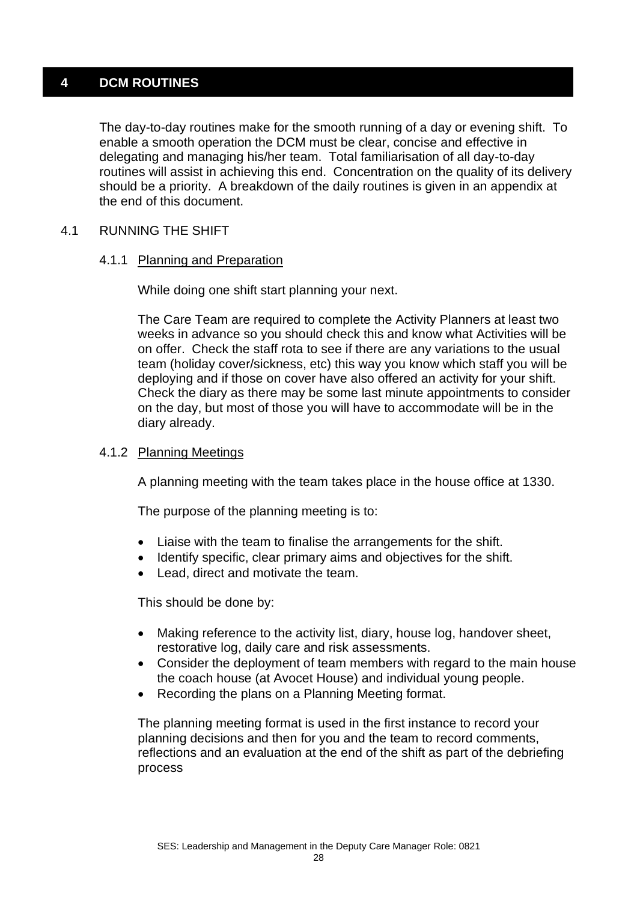## **4 DCM ROUTINES**

The day-to-day routines make for the smooth running of a day or evening shift. To enable a smooth operation the DCM must be clear, concise and effective in delegating and managing his/her team. Total familiarisation of all day-to-day routines will assist in achieving this end. Concentration on the quality of its delivery should be a priority. A breakdown of the daily routines is given in an appendix at the end of this document.

## 4.1 RUNNING THE SHIFT

#### 4.1.1 Planning and Preparation

While doing one shift start planning your next.

The Care Team are required to complete the Activity Planners at least two weeks in advance so you should check this and know what Activities will be on offer. Check the staff rota to see if there are any variations to the usual team (holiday cover/sickness, etc) this way you know which staff you will be deploying and if those on cover have also offered an activity for your shift. Check the diary as there may be some last minute appointments to consider on the day, but most of those you will have to accommodate will be in the diary already.

#### 4.1.2 Planning Meetings

A planning meeting with the team takes place in the house office at 1330.

The purpose of the planning meeting is to:

- Liaise with the team to finalise the arrangements for the shift.
- Identify specific, clear primary aims and objectives for the shift.
- Lead, direct and motivate the team.

This should be done by:

- Making reference to the activity list, diary, house log, handover sheet, restorative log, daily care and risk assessments.
- Consider the deployment of team members with regard to the main house the coach house (at Avocet House) and individual young people.
- Recording the plans on a Planning Meeting format.

The planning meeting format is used in the first instance to record your planning decisions and then for you and the team to record comments, reflections and an evaluation at the end of the shift as part of the debriefing process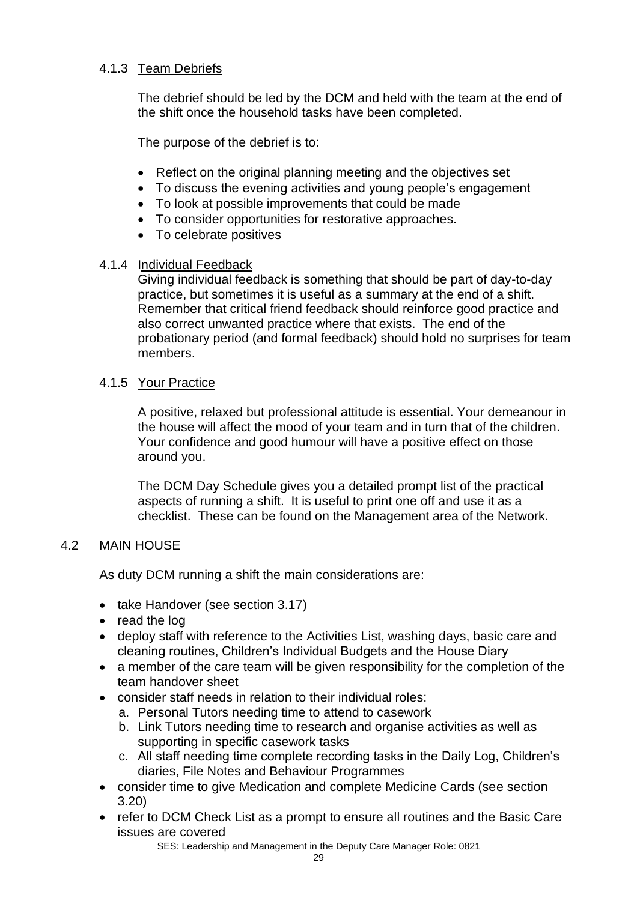## 4.1.3 Team Debriefs

The debrief should be led by the DCM and held with the team at the end of the shift once the household tasks have been completed.

The purpose of the debrief is to:

- Reflect on the original planning meeting and the objectives set
- To discuss the evening activities and young people's engagement
- To look at possible improvements that could be made
- To consider opportunities for restorative approaches.
- To celebrate positives

## 4.1.4 Individual Feedback

Giving individual feedback is something that should be part of day-to-day practice, but sometimes it is useful as a summary at the end of a shift. Remember that critical friend feedback should reinforce good practice and also correct unwanted practice where that exists. The end of the probationary period (and formal feedback) should hold no surprises for team members.

## 4.1.5 Your Practice

A positive, relaxed but professional attitude is essential. Your demeanour in the house will affect the mood of your team and in turn that of the children. Your confidence and good humour will have a positive effect on those around you.

The DCM Day Schedule gives you a detailed prompt list of the practical aspects of running a shift. It is useful to print one off and use it as a checklist. These can be found on the Management area of the Network.

## 4.2 MAIN HOUSE

As duty DCM running a shift the main considerations are:

- take Handover (see section 3.17)
- read the log
- deploy staff with reference to the Activities List, washing days, basic care and cleaning routines, Children's Individual Budgets and the House Diary
- a member of the care team will be given responsibility for the completion of the team handover sheet
- consider staff needs in relation to their individual roles:
	- a. Personal Tutors needing time to attend to casework
	- b. Link Tutors needing time to research and organise activities as well as supporting in specific casework tasks
	- c. All staff needing time complete recording tasks in the Daily Log, Children's diaries, File Notes and Behaviour Programmes
- consider time to give Medication and complete Medicine Cards (see section 3.20)
- refer to DCM Check List as a prompt to ensure all routines and the Basic Care issues are covered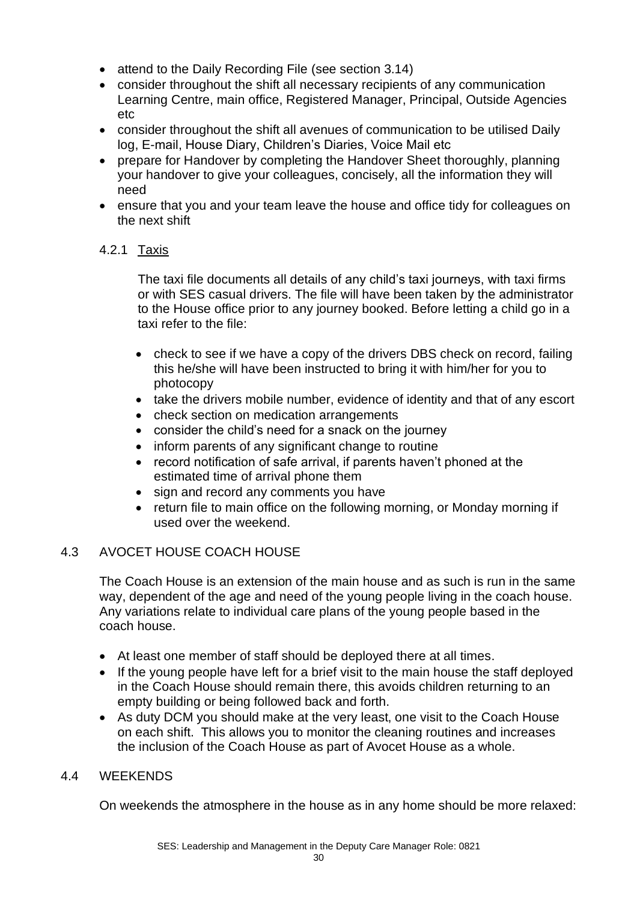- attend to the Daily Recording File (see section 3.14)
- consider throughout the shift all necessary recipients of any communication Learning Centre, main office, Registered Manager, Principal, Outside Agencies etc
- consider throughout the shift all avenues of communication to be utilised Daily log, E-mail, House Diary, Children's Diaries, Voice Mail etc
- prepare for Handover by completing the Handover Sheet thoroughly, planning your handover to give your colleagues, concisely, all the information they will need
- ensure that you and your team leave the house and office tidy for colleagues on the next shift

## 4.2.1 Taxis

The taxi file documents all details of any child's taxi journeys, with taxi firms or with SES casual drivers. The file will have been taken by the administrator to the House office prior to any journey booked. Before letting a child go in a taxi refer to the file:

- check to see if we have a copy of the drivers DBS check on record, failing this he/she will have been instructed to bring it with him/her for you to photocopy
- take the drivers mobile number, evidence of identity and that of any escort
- check section on medication arrangements
- consider the child's need for a snack on the journey
- inform parents of any significant change to routine
- record notification of safe arrival, if parents haven't phoned at the estimated time of arrival phone them
- sign and record any comments you have
- return file to main office on the following morning, or Monday morning if used over the weekend.

## 4.3 AVOCET HOUSE COACH HOUSE

The Coach House is an extension of the main house and as such is run in the same way, dependent of the age and need of the young people living in the coach house. Any variations relate to individual care plans of the young people based in the coach house.

- At least one member of staff should be deployed there at all times.
- If the young people have left for a brief visit to the main house the staff deployed in the Coach House should remain there, this avoids children returning to an empty building or being followed back and forth.
- As duty DCM you should make at the very least, one visit to the Coach House on each shift. This allows you to monitor the cleaning routines and increases the inclusion of the Coach House as part of Avocet House as a whole.

## 4.4 WEEKENDS

On weekends the atmosphere in the house as in any home should be more relaxed: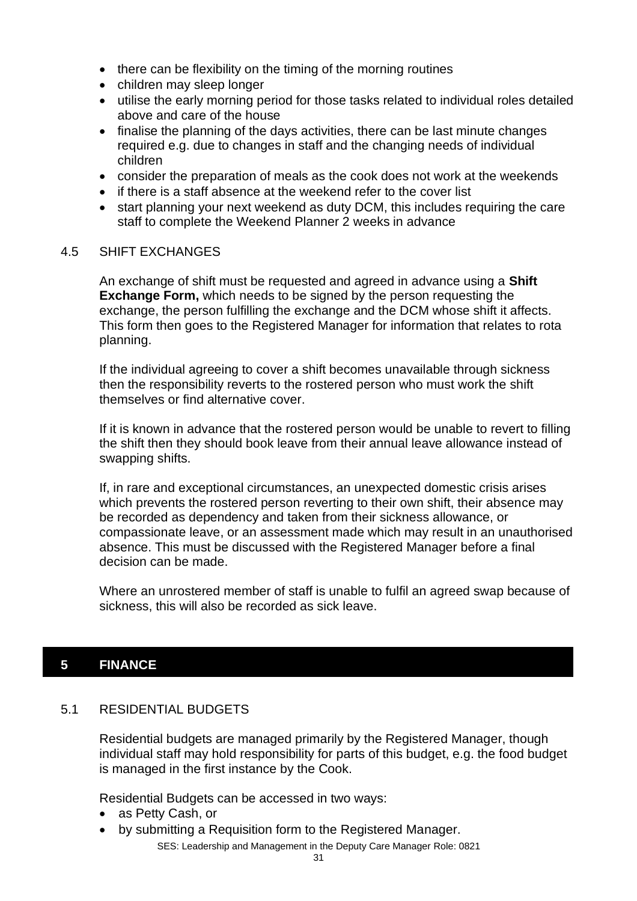- there can be flexibility on the timing of the morning routines
- children may sleep longer
- utilise the early morning period for those tasks related to individual roles detailed above and care of the house
- finalise the planning of the days activities, there can be last minute changes required e.g. due to changes in staff and the changing needs of individual children
- consider the preparation of meals as the cook does not work at the weekends
- if there is a staff absence at the weekend refer to the cover list
- start planning your next weekend as duty DCM, this includes requiring the care staff to complete the Weekend Planner 2 weeks in advance

#### 4.5 SHIFT EXCHANGES

An exchange of shift must be requested and agreed in advance using a **Shift Exchange Form,** which needs to be signed by the person requesting the exchange, the person fulfilling the exchange and the DCM whose shift it affects. This form then goes to the Registered Manager for information that relates to rota planning.

If the individual agreeing to cover a shift becomes unavailable through sickness then the responsibility reverts to the rostered person who must work the shift themselves or find alternative cover.

If it is known in advance that the rostered person would be unable to revert to filling the shift then they should book leave from their annual leave allowance instead of swapping shifts.

If, in rare and exceptional circumstances, an unexpected domestic crisis arises which prevents the rostered person reverting to their own shift, their absence may be recorded as dependency and taken from their sickness allowance, or compassionate leave, or an assessment made which may result in an unauthorised absence. This must be discussed with the Registered Manager before a final decision can be made.

Where an unrostered member of staff is unable to fulfil an agreed swap because of sickness, this will also be recorded as sick leave.

## **5 FINANCE**

## 5.1 RESIDENTIAL BUDGETS

Residential budgets are managed primarily by the Registered Manager, though individual staff may hold responsibility for parts of this budget, e.g. the food budget is managed in the first instance by the Cook.

Residential Budgets can be accessed in two ways:

- as Petty Cash, or
- by submitting a Requisition form to the Registered Manager.

SES: Leadership and Management in the Deputy Care Manager Role: 0821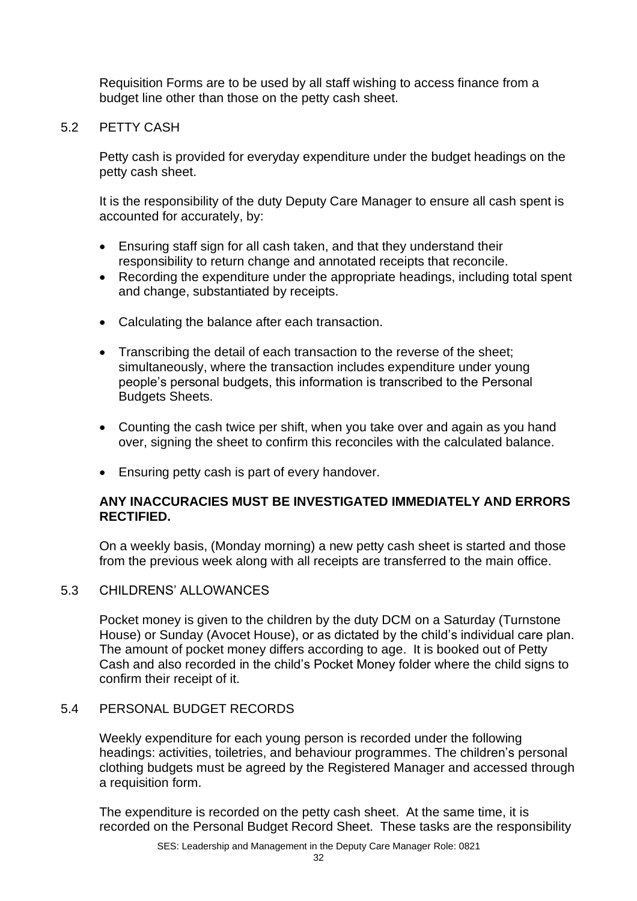Requisition Forms are to be used by all staff wishing to access finance from a budget line other than those on the petty cash sheet.

5.2 PETTY CASH

Petty cash is provided for everyday expenditure under the budget headings on the petty cash sheet.

It is the responsibility of the duty Deputy Care Manager to ensure all cash spent is accounted for accurately, by:

- Ensuring staff sign for all cash taken, and that they understand their responsibility to return change and annotated receipts that reconcile.
- Recording the expenditure under the appropriate headings, including total spent and change, substantiated by receipts.
- Calculating the balance after each transaction.
- Transcribing the detail of each transaction to the reverse of the sheet; simultaneously, where the transaction includes expenditure under young people's personal budgets, this information is transcribed to the Personal Budgets Sheets.
- Counting the cash twice per shift, when you take over and again as you hand over, signing the sheet to confirm this reconciles with the calculated balance.
- Ensuring petty cash is part of every handover.

## **ANY INACCURACIES MUST BE INVESTIGATED IMMEDIATELY AND ERRORS RECTIFIED.**

On a weekly basis, (Monday morning) a new petty cash sheet is started and those from the previous week along with all receipts are transferred to the main office.

## 5.3 CHILDRENS' ALLOWANCES

Pocket money is given to the children by the duty DCM on a Saturday (Turnstone House) or Sunday (Avocet House), or as dictated by the child's individual care plan. The amount of pocket money differs according to age. It is booked out of Petty Cash and also recorded in the child's Pocket Money folder where the child signs to confirm their receipt of it.

## 5.4 PERSONAL BUDGET RECORDS

Weekly expenditure for each young person is recorded under the following headings: activities, toiletries, and behaviour programmes. The children's personal clothing budgets must be agreed by the Registered Manager and accessed through a requisition form.

The expenditure is recorded on the petty cash sheet. At the same time, it is recorded on the Personal Budget Record Sheet. These tasks are the responsibility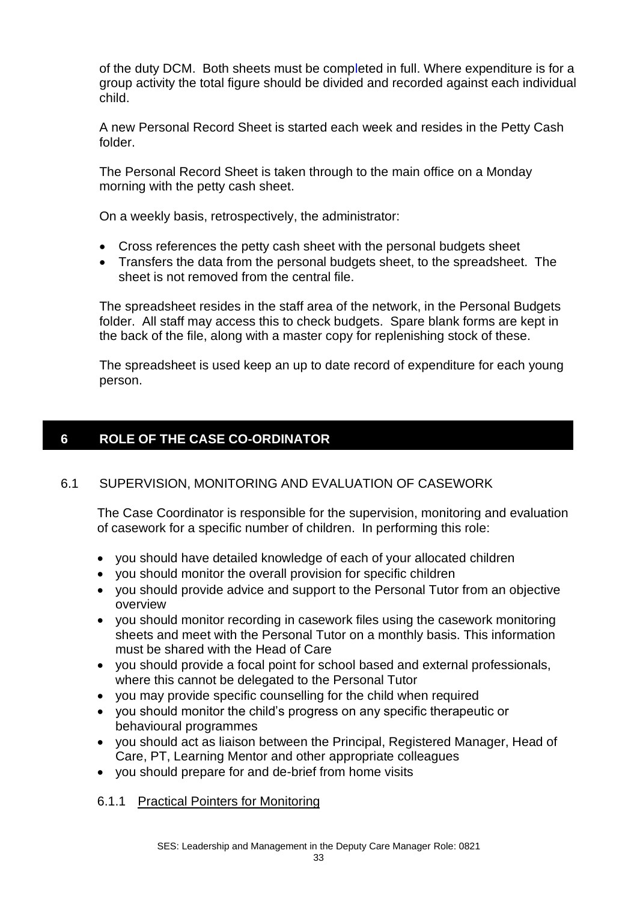of the duty DCM. Both sheets must be completed in full. Where expenditure is for a group activity the total figure should be divided and recorded against each individual child.

A new Personal Record Sheet is started each week and resides in the Petty Cash folder.

The Personal Record Sheet is taken through to the main office on a Monday morning with the petty cash sheet.

On a weekly basis, retrospectively, the administrator:

- Cross references the petty cash sheet with the personal budgets sheet
- Transfers the data from the personal budgets sheet, to the spreadsheet. The sheet is not removed from the central file.

The spreadsheet resides in the staff area of the network, in the Personal Budgets folder. All staff may access this to check budgets. Spare blank forms are kept in the back of the file, along with a master copy for replenishing stock of these.

The spreadsheet is used keep an up to date record of expenditure for each young person.

#### **6 ROLE OF THE CASE CO-ORDINATOR**

## 6.1 SUPERVISION, MONITORING AND EVALUATION OF CASEWORK

The Case Coordinator is responsible for the supervision, monitoring and evaluation of casework for a specific number of children. In performing this role:

- you should have detailed knowledge of each of your allocated children
- you should monitor the overall provision for specific children
- you should provide advice and support to the Personal Tutor from an objective overview
- you should monitor recording in casework files using the casework monitoring sheets and meet with the Personal Tutor on a monthly basis. This information must be shared with the Head of Care
- you should provide a focal point for school based and external professionals, where this cannot be delegated to the Personal Tutor
- you may provide specific counselling for the child when required
- you should monitor the child's progress on any specific therapeutic or behavioural programmes
- you should act as liaison between the Principal, Registered Manager, Head of Care, PT, Learning Mentor and other appropriate colleagues
- you should prepare for and de-brief from home visits

6.1.1 Practical Pointers for Monitoring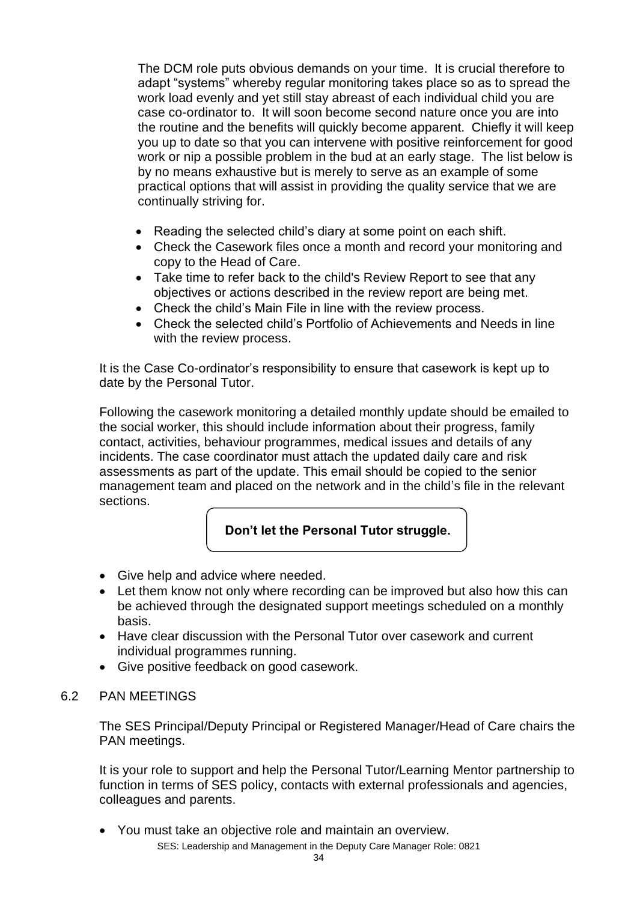The DCM role puts obvious demands on your time. It is crucial therefore to adapt "systems" whereby regular monitoring takes place so as to spread the work load evenly and yet still stay abreast of each individual child you are case co-ordinator to. It will soon become second nature once you are into the routine and the benefits will quickly become apparent. Chiefly it will keep you up to date so that you can intervene with positive reinforcement for good work or nip a possible problem in the bud at an early stage. The list below is by no means exhaustive but is merely to serve as an example of some practical options that will assist in providing the quality service that we are continually striving for.

- Reading the selected child's diary at some point on each shift.
- Check the Casework files once a month and record your monitoring and copy to the Head of Care.
- Take time to refer back to the child's Review Report to see that any objectives or actions described in the review report are being met.
- Check the child's Main File in line with the review process.
- Check the selected child's Portfolio of Achievements and Needs in line with the review process.

It is the Case Co-ordinator's responsibility to ensure that casework is kept up to date by the Personal Tutor.

Following the casework monitoring a detailed monthly update should be emailed to the social worker, this should include information about their progress, family contact, activities, behaviour programmes, medical issues and details of any incidents. The case coordinator must attach the updated daily care and risk assessments as part of the update. This email should be copied to the senior management team and placed on the network and in the child's file in the relevant sections.

## **Don't let the Personal Tutor struggle.**

- Give help and advice where needed.
- Let them know not only where recording can be improved but also how this can be achieved through the designated support meetings scheduled on a monthly basis.
- Have clear discussion with the Personal Tutor over casework and current individual programmes running.
- Give positive feedback on good casework.

## 6.2 PAN MEETINGS

The SES Principal/Deputy Principal or Registered Manager/Head of Care chairs the PAN meetings.

It is your role to support and help the Personal Tutor/Learning Mentor partnership to function in terms of SES policy, contacts with external professionals and agencies, colleagues and parents.

SES: Leadership and Management in the Deputy Care Manager Role: 0821 • You must take an objective role and maintain an overview.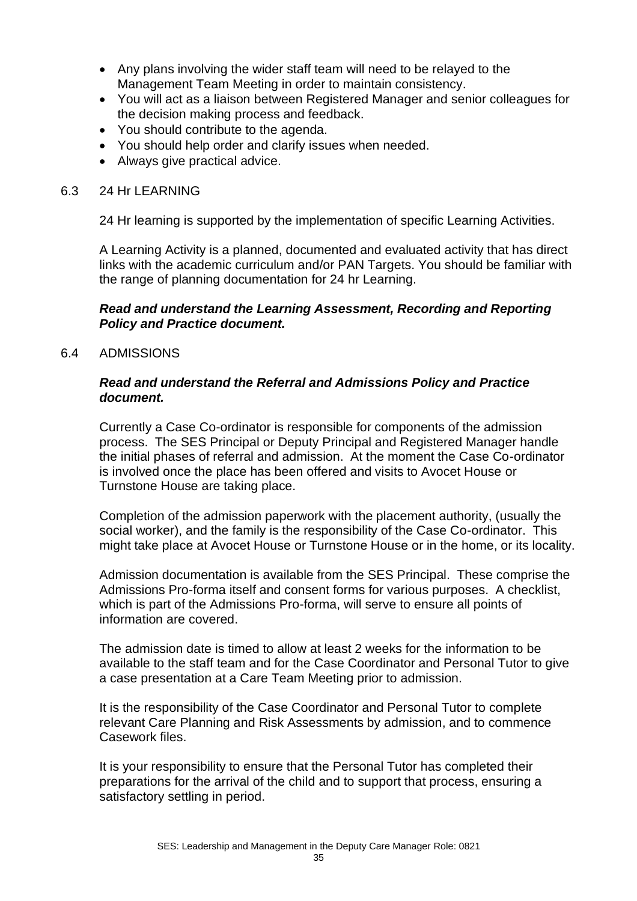- Any plans involving the wider staff team will need to be relayed to the Management Team Meeting in order to maintain consistency.
- You will act as a liaison between Registered Manager and senior colleagues for the decision making process and feedback.
- You should contribute to the agenda.
- You should help order and clarify issues when needed.
- Always give practical advice.

#### 6.3 24 Hr LEARNING

24 Hr learning is supported by the implementation of specific Learning Activities.

A Learning Activity is a planned, documented and evaluated activity that has direct links with the academic curriculum and/or PAN Targets. You should be familiar with the range of planning documentation for 24 hr Learning.

#### *Read and understand the Learning Assessment, Recording and Reporting Policy and Practice document.*

#### 6.4 ADMISSIONS

#### *Read and understand the Referral and Admissions Policy and Practice document.*

Currently a Case Co-ordinator is responsible for components of the admission process. The SES Principal or Deputy Principal and Registered Manager handle the initial phases of referral and admission. At the moment the Case Co-ordinator is involved once the place has been offered and visits to Avocet House or Turnstone House are taking place.

Completion of the admission paperwork with the placement authority, (usually the social worker), and the family is the responsibility of the Case Co-ordinator. This might take place at Avocet House or Turnstone House or in the home, or its locality.

Admission documentation is available from the SES Principal. These comprise the Admissions Pro-forma itself and consent forms for various purposes. A checklist, which is part of the Admissions Pro-forma, will serve to ensure all points of information are covered.

The admission date is timed to allow at least 2 weeks for the information to be available to the staff team and for the Case Coordinator and Personal Tutor to give a case presentation at a Care Team Meeting prior to admission.

It is the responsibility of the Case Coordinator and Personal Tutor to complete relevant Care Planning and Risk Assessments by admission, and to commence Casework files.

It is your responsibility to ensure that the Personal Tutor has completed their preparations for the arrival of the child and to support that process, ensuring a satisfactory settling in period.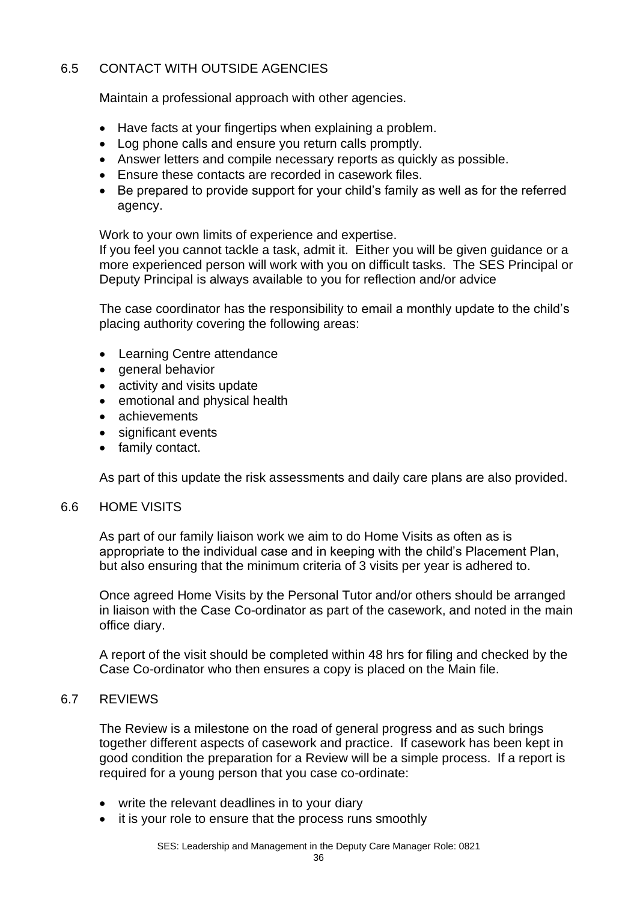## 6.5 CONTACT WITH OUTSIDE AGENCIES

Maintain a professional approach with other agencies.

- Have facts at your fingertips when explaining a problem.
- Log phone calls and ensure you return calls promptly.
- Answer letters and compile necessary reports as quickly as possible.
- Ensure these contacts are recorded in casework files.
- Be prepared to provide support for your child's family as well as for the referred agency.

Work to your own limits of experience and expertise.

If you feel you cannot tackle a task, admit it. Either you will be given guidance or a more experienced person will work with you on difficult tasks. The SES Principal or Deputy Principal is always available to you for reflection and/or advice

The case coordinator has the responsibility to email a monthly update to the child's placing authority covering the following areas:

- Learning Centre attendance
- general behavior
- activity and visits update
- emotional and physical health
- achievements
- significant events
- family contact.

As part of this update the risk assessments and daily care plans are also provided.

## 6.6 HOME VISITS

As part of our family liaison work we aim to do Home Visits as often as is appropriate to the individual case and in keeping with the child's Placement Plan, but also ensuring that the minimum criteria of 3 visits per year is adhered to.

Once agreed Home Visits by the Personal Tutor and/or others should be arranged in liaison with the Case Co-ordinator as part of the casework, and noted in the main office diary.

A report of the visit should be completed within 48 hrs for filing and checked by the Case Co-ordinator who then ensures a copy is placed on the Main file.

## 6.7 REVIEWS

The Review is a milestone on the road of general progress and as such brings together different aspects of casework and practice. If casework has been kept in good condition the preparation for a Review will be a simple process. If a report is required for a young person that you case co-ordinate:

- write the relevant deadlines in to your diary
- it is your role to ensure that the process runs smoothly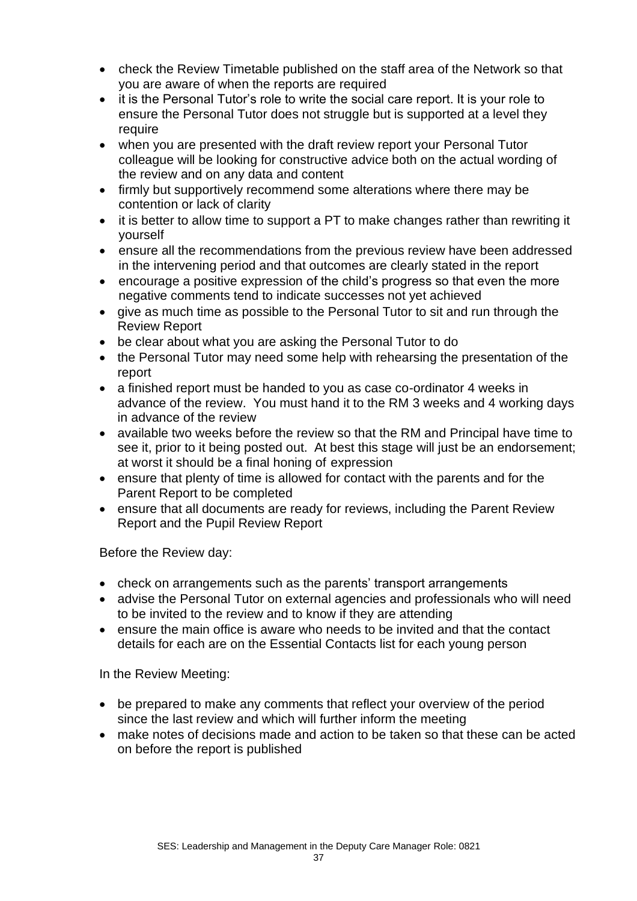- check the Review Timetable published on the staff area of the Network so that you are aware of when the reports are required
- it is the Personal Tutor's role to write the social care report. It is your role to ensure the Personal Tutor does not struggle but is supported at a level they require
- when you are presented with the draft review report your Personal Tutor colleague will be looking for constructive advice both on the actual wording of the review and on any data and content
- firmly but supportively recommend some alterations where there may be contention or lack of clarity
- it is better to allow time to support a PT to make changes rather than rewriting it yourself
- ensure all the recommendations from the previous review have been addressed in the intervening period and that outcomes are clearly stated in the report
- encourage a positive expression of the child's progress so that even the more negative comments tend to indicate successes not yet achieved
- give as much time as possible to the Personal Tutor to sit and run through the Review Report
- be clear about what you are asking the Personal Tutor to do
- the Personal Tutor may need some help with rehearsing the presentation of the report
- a finished report must be handed to you as case co-ordinator 4 weeks in advance of the review. You must hand it to the RM 3 weeks and 4 working days in advance of the review
- available two weeks before the review so that the RM and Principal have time to see it, prior to it being posted out. At best this stage will just be an endorsement; at worst it should be a final honing of expression
- ensure that plenty of time is allowed for contact with the parents and for the Parent Report to be completed
- ensure that all documents are ready for reviews, including the Parent Review Report and the Pupil Review Report

Before the Review day:

- check on arrangements such as the parents' transport arrangements
- advise the Personal Tutor on external agencies and professionals who will need to be invited to the review and to know if they are attending
- ensure the main office is aware who needs to be invited and that the contact details for each are on the Essential Contacts list for each young person

In the Review Meeting:

- be prepared to make any comments that reflect your overview of the period since the last review and which will further inform the meeting
- make notes of decisions made and action to be taken so that these can be acted on before the report is published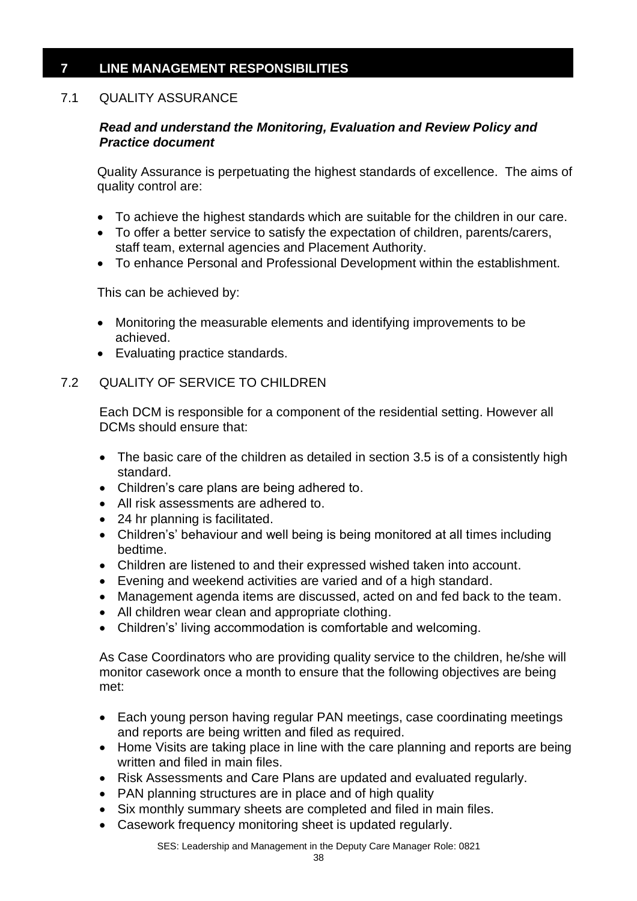## **7 LINE MANAGEMENT RESPONSIBILITIES**

## 7.1 QUALITY ASSURANCE

## *Read and understand the Monitoring, Evaluation and Review Policy and Practice document*

Quality Assurance is perpetuating the highest standards of excellence. The aims of quality control are:

- To achieve the highest standards which are suitable for the children in our care.
- To offer a better service to satisfy the expectation of children, parents/carers, staff team, external agencies and Placement Authority.
- To enhance Personal and Professional Development within the establishment.

This can be achieved by:

- Monitoring the measurable elements and identifying improvements to be achieved.
- Evaluating practice standards.

## 7.2 QUALITY OF SERVICE TO CHILDREN

Each DCM is responsible for a component of the residential setting. However all DCMs should ensure that:

- The basic care of the children as detailed in section 3.5 is of a consistently high standard.
- Children's care plans are being adhered to.
- All risk assessments are adhered to.
- 24 hr planning is facilitated.
- Children's' behaviour and well being is being monitored at all times including bedtime.
- Children are listened to and their expressed wished taken into account.
- Evening and weekend activities are varied and of a high standard.
- Management agenda items are discussed, acted on and fed back to the team.
- All children wear clean and appropriate clothing.
- Children's' living accommodation is comfortable and welcoming.

As Case Coordinators who are providing quality service to the children, he/she will monitor casework once a month to ensure that the following objectives are being met:

- Each young person having regular PAN meetings, case coordinating meetings and reports are being written and filed as required.
- Home Visits are taking place in line with the care planning and reports are being written and filed in main files.
- Risk Assessments and Care Plans are updated and evaluated regularly.
- PAN planning structures are in place and of high quality
- Six monthly summary sheets are completed and filed in main files.
- Casework frequency monitoring sheet is updated regularly.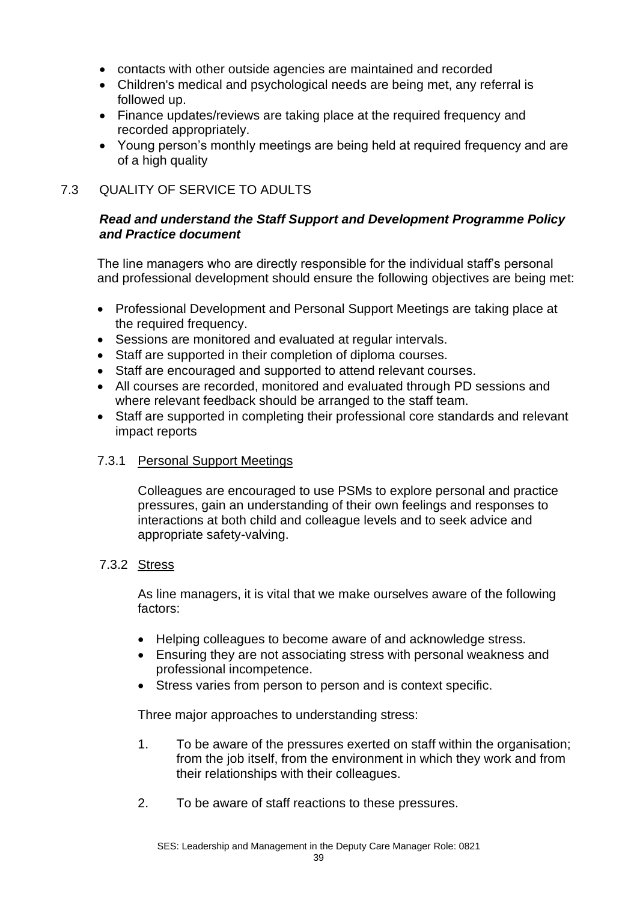- contacts with other outside agencies are maintained and recorded
- Children's medical and psychological needs are being met, any referral is followed up.
- Finance updates/reviews are taking place at the required frequency and recorded appropriately.
- Young person's monthly meetings are being held at required frequency and are of a high quality

## 7.3 QUALITY OF SERVICE TO ADULTS

## *Read and understand the Staff Support and Development Programme Policy and Practice document*

The line managers who are directly responsible for the individual staff's personal and professional development should ensure the following objectives are being met:

- Professional Development and Personal Support Meetings are taking place at the required frequency.
- Sessions are monitored and evaluated at regular intervals.
- Staff are supported in their completion of diploma courses.
- Staff are encouraged and supported to attend relevant courses.
- All courses are recorded, monitored and evaluated through PD sessions and where relevant feedback should be arranged to the staff team.
- Staff are supported in completing their professional core standards and relevant impact reports

## 7.3.1 Personal Support Meetings

Colleagues are encouraged to use PSMs to explore personal and practice pressures, gain an understanding of their own feelings and responses to interactions at both child and colleague levels and to seek advice and appropriate safety-valving.

## 7.3.2 Stress

As line managers, it is vital that we make ourselves aware of the following factors:

- Helping colleagues to become aware of and acknowledge stress.
- Ensuring they are not associating stress with personal weakness and professional incompetence.
- Stress varies from person to person and is context specific.

Three major approaches to understanding stress:

- 1. To be aware of the pressures exerted on staff within the organisation; from the job itself, from the environment in which they work and from their relationships with their colleagues.
- 2. To be aware of staff reactions to these pressures.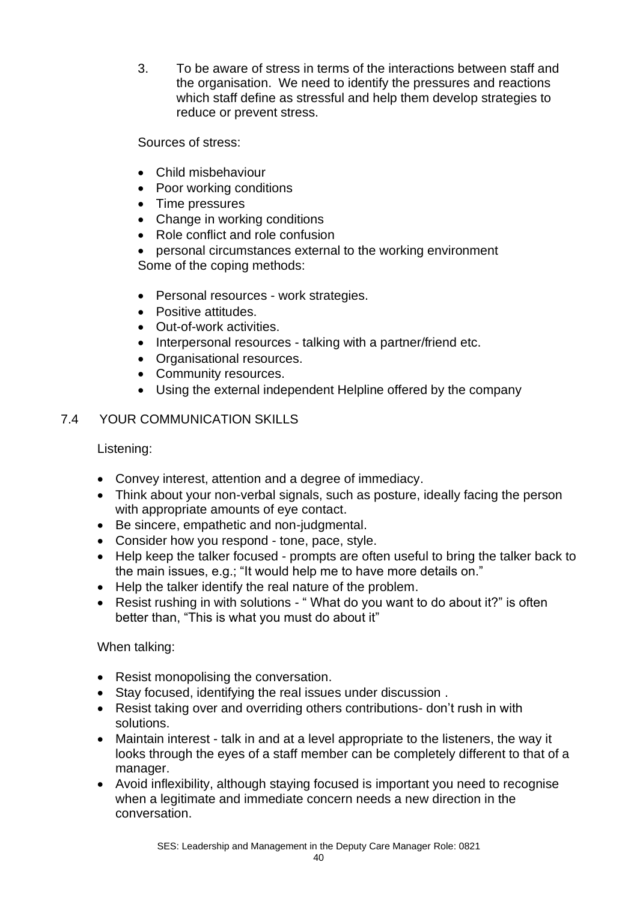3. To be aware of stress in terms of the interactions between staff and the organisation. We need to identify the pressures and reactions which staff define as stressful and help them develop strategies to reduce or prevent stress.

Sources of stress:

- Child misbehaviour
- Poor working conditions
- Time pressures
- Change in working conditions
- Role conflict and role confusion
- personal circumstances external to the working environment Some of the coping methods:
- Personal resources work strategies.
- Positive attitudes.
- Out-of-work activities.
- Interpersonal resources talking with a partner/friend etc.
- Organisational resources.
- Community resources.
- Using the external independent Helpline offered by the company

## 7.4 YOUR COMMUNICATION SKILLS

Listening:

- Convey interest, attention and a degree of immediacy.
- Think about your non-verbal signals, such as posture, ideally facing the person with appropriate amounts of eye contact.
- Be sincere, empathetic and non-judgmental.
- Consider how you respond tone, pace, style.
- Help keep the talker focused prompts are often useful to bring the talker back to the main issues, e.g.; "It would help me to have more details on."
- Help the talker identify the real nature of the problem.
- Resist rushing in with solutions "What do you want to do about it?" is often better than, "This is what you must do about it"

## When talking:

- Resist monopolising the conversation.
- Stay focused, identifying the real issues under discussion .
- Resist taking over and overriding others contributions- don't rush in with solutions.
- Maintain interest talk in and at a level appropriate to the listeners, the way it looks through the eyes of a staff member can be completely different to that of a manager.
- Avoid inflexibility, although staying focused is important you need to recognise when a legitimate and immediate concern needs a new direction in the conversation.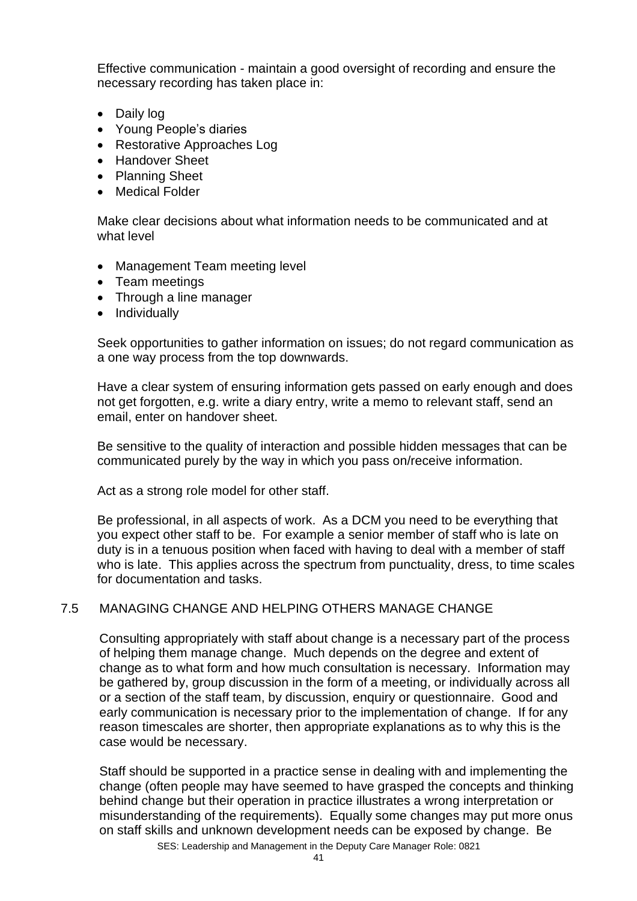Effective communication - maintain a good oversight of recording and ensure the necessary recording has taken place in:

- Daily log
- Young People's diaries
- Restorative Approaches Log
- Handover Sheet
- Planning Sheet
- Medical Folder

Make clear decisions about what information needs to be communicated and at what level

- Management Team meeting level
- Team meetings
- Through a line manager
- Individually

Seek opportunities to gather information on issues; do not regard communication as a one way process from the top downwards.

Have a clear system of ensuring information gets passed on early enough and does not get forgotten, e.g. write a diary entry, write a memo to relevant staff, send an email, enter on handover sheet.

Be sensitive to the quality of interaction and possible hidden messages that can be communicated purely by the way in which you pass on/receive information.

Act as a strong role model for other staff.

Be professional, in all aspects of work. As a DCM you need to be everything that you expect other staff to be. For example a senior member of staff who is late on duty is in a tenuous position when faced with having to deal with a member of staff who is late. This applies across the spectrum from punctuality, dress, to time scales for documentation and tasks.

## 7.5 MANAGING CHANGE AND HELPING OTHERS MANAGE CHANGE

Consulting appropriately with staff about change is a necessary part of the process of helping them manage change. Much depends on the degree and extent of change as to what form and how much consultation is necessary. Information may be gathered by, group discussion in the form of a meeting, or individually across all or a section of the staff team, by discussion, enquiry or questionnaire. Good and early communication is necessary prior to the implementation of change. If for any reason timescales are shorter, then appropriate explanations as to why this is the case would be necessary.

Staff should be supported in a practice sense in dealing with and implementing the change (often people may have seemed to have grasped the concepts and thinking behind change but their operation in practice illustrates a wrong interpretation or misunderstanding of the requirements). Equally some changes may put more onus on staff skills and unknown development needs can be exposed by change. Be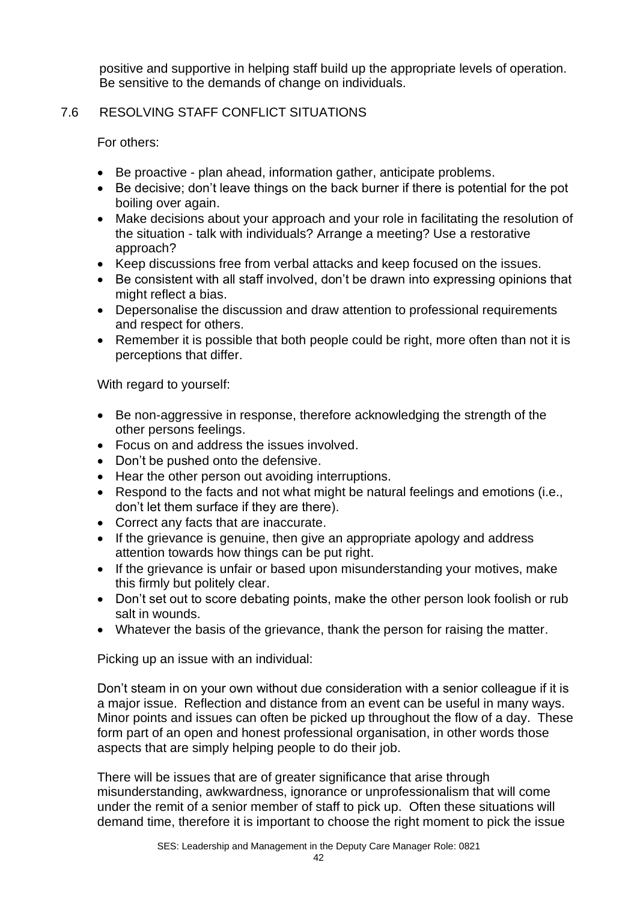positive and supportive in helping staff build up the appropriate levels of operation. Be sensitive to the demands of change on individuals.

## 7.6 RESOLVING STAFF CONFLICT SITUATIONS

For others:

- Be proactive plan ahead, information gather, anticipate problems.
- Be decisive; don't leave things on the back burner if there is potential for the pot boiling over again.
- Make decisions about your approach and your role in facilitating the resolution of the situation - talk with individuals? Arrange a meeting? Use a restorative approach?
- Keep discussions free from verbal attacks and keep focused on the issues.
- Be consistent with all staff involved, don't be drawn into expressing opinions that might reflect a bias.
- Depersonalise the discussion and draw attention to professional requirements and respect for others.
- Remember it is possible that both people could be right, more often than not it is perceptions that differ.

With regard to yourself:

- Be non-aggressive in response, therefore acknowledging the strength of the other persons feelings.
- Focus on and address the issues involved.
- Don't be pushed onto the defensive.
- Hear the other person out avoiding interruptions.
- Respond to the facts and not what might be natural feelings and emotions (i.e., don't let them surface if they are there).
- Correct any facts that are inaccurate.
- If the grievance is genuine, then give an appropriate apology and address attention towards how things can be put right.
- If the grievance is unfair or based upon misunderstanding your motives, make this firmly but politely clear.
- Don't set out to score debating points, make the other person look foolish or rub salt in wounds.
- Whatever the basis of the grievance, thank the person for raising the matter.

Picking up an issue with an individual:

Don't steam in on your own without due consideration with a senior colleague if it is a major issue. Reflection and distance from an event can be useful in many ways. Minor points and issues can often be picked up throughout the flow of a day. These form part of an open and honest professional organisation, in other words those aspects that are simply helping people to do their job.

There will be issues that are of greater significance that arise through misunderstanding, awkwardness, ignorance or unprofessionalism that will come under the remit of a senior member of staff to pick up. Often these situations will demand time, therefore it is important to choose the right moment to pick the issue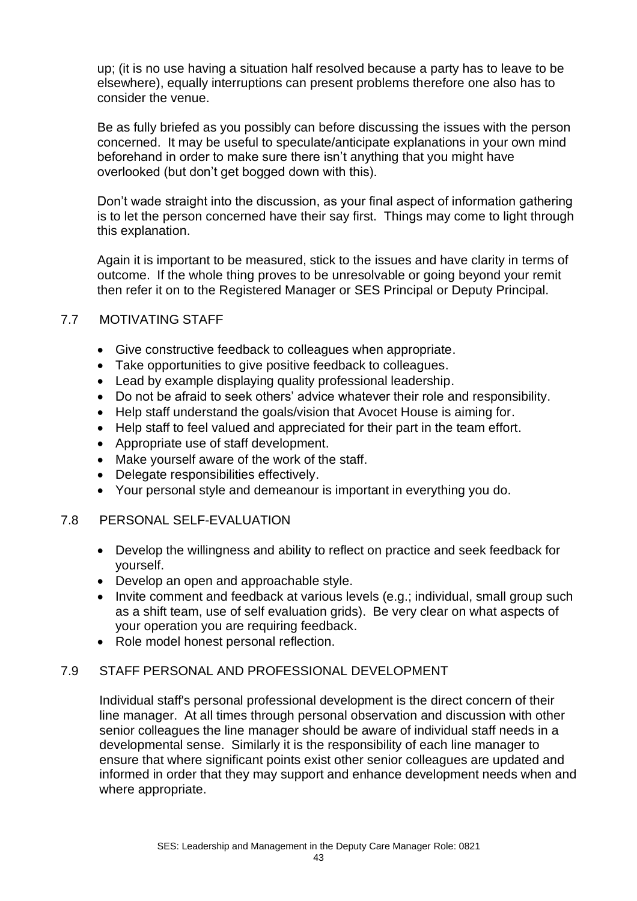up; (it is no use having a situation half resolved because a party has to leave to be elsewhere), equally interruptions can present problems therefore one also has to consider the venue.

Be as fully briefed as you possibly can before discussing the issues with the person concerned. It may be useful to speculate/anticipate explanations in your own mind beforehand in order to make sure there isn't anything that you might have overlooked (but don't get bogged down with this).

Don't wade straight into the discussion, as your final aspect of information gathering is to let the person concerned have their say first. Things may come to light through this explanation.

Again it is important to be measured, stick to the issues and have clarity in terms of outcome. If the whole thing proves to be unresolvable or going beyond your remit then refer it on to the Registered Manager or SES Principal or Deputy Principal.

## 7.7 MOTIVATING STAFF

- Give constructive feedback to colleagues when appropriate.
- Take opportunities to give positive feedback to colleagues.
- Lead by example displaying quality professional leadership.
- Do not be afraid to seek others' advice whatever their role and responsibility.
- Help staff understand the goals/vision that Avocet House is aiming for.
- Help staff to feel valued and appreciated for their part in the team effort.
- Appropriate use of staff development.
- Make yourself aware of the work of the staff.
- Delegate responsibilities effectively.
- Your personal style and demeanour is important in everything you do.

## 7.8 PERSONAL SELF-EVALUATION

- Develop the willingness and ability to reflect on practice and seek feedback for yourself.
- Develop an open and approachable style.
- Invite comment and feedback at various levels (e.g.; individual, small group such as a shift team, use of self evaluation grids). Be very clear on what aspects of your operation you are requiring feedback.
- Role model honest personal reflection.

## 7.9 STAFF PERSONAL AND PROFESSIONAL DEVELOPMENT

Individual staff's personal professional development is the direct concern of their line manager. At all times through personal observation and discussion with other senior colleagues the line manager should be aware of individual staff needs in a developmental sense. Similarly it is the responsibility of each line manager to ensure that where significant points exist other senior colleagues are updated and informed in order that they may support and enhance development needs when and where appropriate.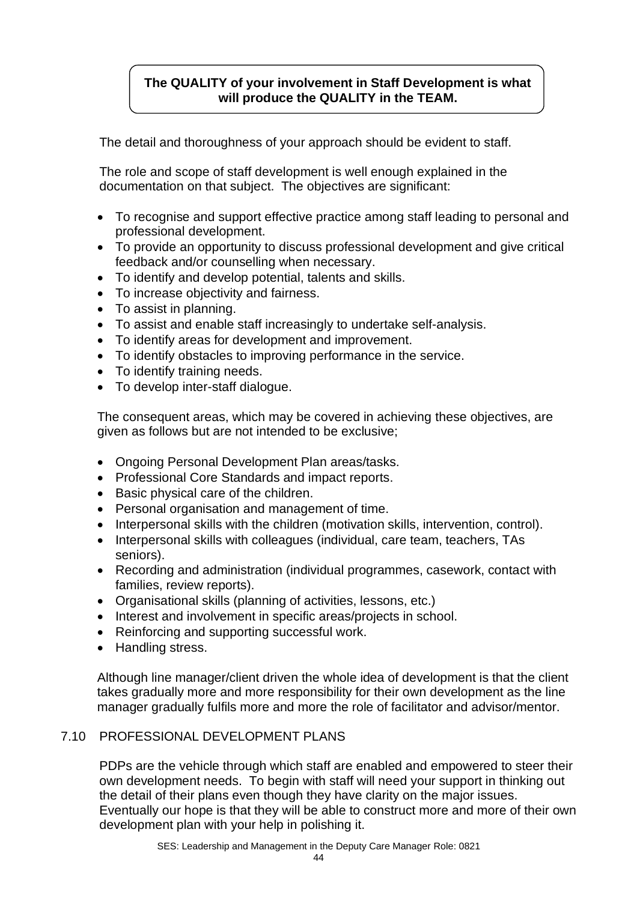## **The QUALITY of your involvement in Staff Development is what will produce the QUALITY in the TEAM.**

The detail and thoroughness of your approach should be evident to staff.

The role and scope of staff development is well enough explained in the documentation on that subject. The objectives are significant:

- To recognise and support effective practice among staff leading to personal and professional development.
- To provide an opportunity to discuss professional development and give critical feedback and/or counselling when necessary.
- To identify and develop potential, talents and skills.
- To increase objectivity and fairness.
- To assist in planning.
- To assist and enable staff increasingly to undertake self-analysis.
- To identify areas for development and improvement.
- To identify obstacles to improving performance in the service.
- To identify training needs.
- To develop inter-staff dialogue.

The consequent areas, which may be covered in achieving these objectives, are given as follows but are not intended to be exclusive;

- Ongoing Personal Development Plan areas/tasks.
- Professional Core Standards and impact reports.
- Basic physical care of the children.
- Personal organisation and management of time.
- Interpersonal skills with the children (motivation skills, intervention, control).
- Interpersonal skills with colleagues (individual, care team, teachers, TAs seniors).
- Recording and administration (individual programmes, casework, contact with families, review reports).
- Organisational skills (planning of activities, lessons, etc.)
- Interest and involvement in specific areas/projects in school.
- Reinforcing and supporting successful work.
- Handling stress.

Although line manager/client driven the whole idea of development is that the client takes gradually more and more responsibility for their own development as the line manager gradually fulfils more and more the role of facilitator and advisor/mentor.

## 7.10 PROFESSIONAL DEVELOPMENT PLANS

PDPs are the vehicle through which staff are enabled and empowered to steer their own development needs. To begin with staff will need your support in thinking out the detail of their plans even though they have clarity on the major issues. Eventually our hope is that they will be able to construct more and more of their own development plan with your help in polishing it.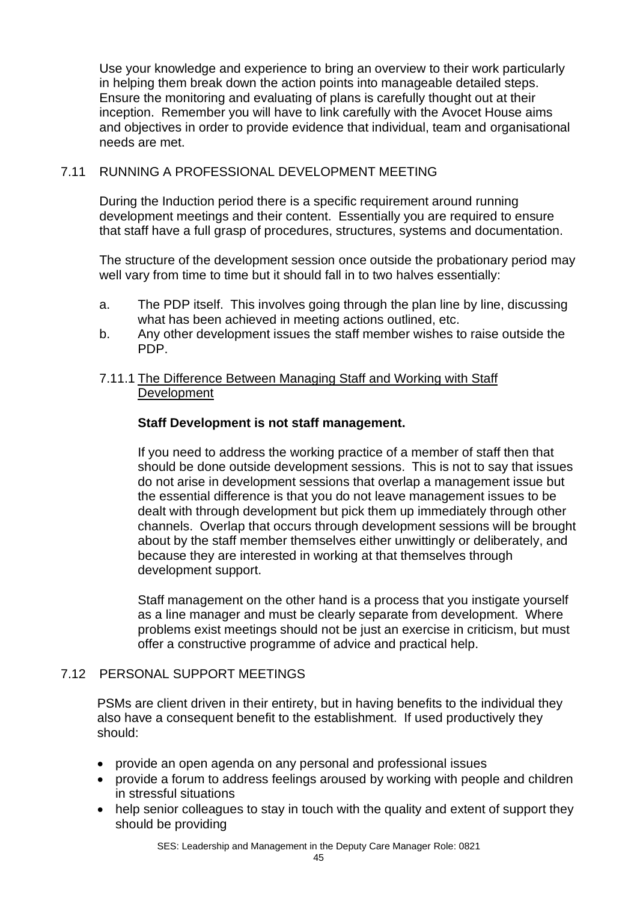Use your knowledge and experience to bring an overview to their work particularly in helping them break down the action points into manageable detailed steps. Ensure the monitoring and evaluating of plans is carefully thought out at their inception. Remember you will have to link carefully with the Avocet House aims and objectives in order to provide evidence that individual, team and organisational needs are met.

## 7.11 RUNNING A PROFESSIONAL DEVELOPMENT MEETING

During the Induction period there is a specific requirement around running development meetings and their content. Essentially you are required to ensure that staff have a full grasp of procedures, structures, systems and documentation.

The structure of the development session once outside the probationary period may well vary from time to time but it should fall in to two halves essentially:

- a. The PDP itself. This involves going through the plan line by line, discussing what has been achieved in meeting actions outlined, etc.
- b. Any other development issues the staff member wishes to raise outside the PDP.

## 7.11.1 The Difference Between Managing Staff and Working with Staff Development

## **Staff Development is not staff management.**

If you need to address the working practice of a member of staff then that should be done outside development sessions. This is not to say that issues do not arise in development sessions that overlap a management issue but the essential difference is that you do not leave management issues to be dealt with through development but pick them up immediately through other channels. Overlap that occurs through development sessions will be brought about by the staff member themselves either unwittingly or deliberately, and because they are interested in working at that themselves through development support.

Staff management on the other hand is a process that you instigate yourself as a line manager and must be clearly separate from development. Where problems exist meetings should not be just an exercise in criticism, but must offer a constructive programme of advice and practical help.

## 7.12 PERSONAL SUPPORT MEETINGS

PSMs are client driven in their entirety, but in having benefits to the individual they also have a consequent benefit to the establishment. If used productively they should:

- provide an open agenda on any personal and professional issues
- provide a forum to address feelings aroused by working with people and children in stressful situations
- help senior colleagues to stay in touch with the quality and extent of support they should be providing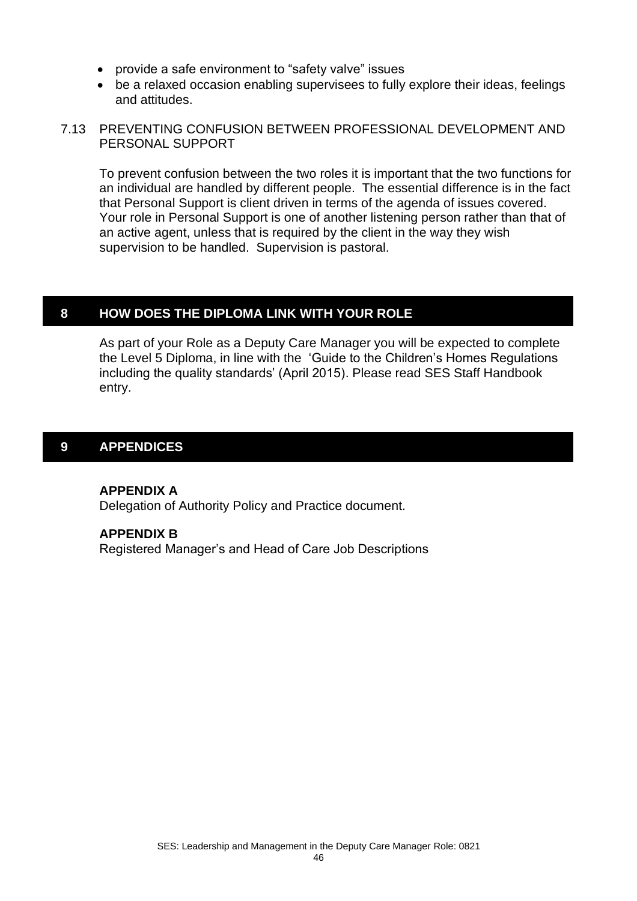- provide a safe environment to "safety valve" issues
- be a relaxed occasion enabling supervisees to fully explore their ideas, feelings and attitudes.

#### 7.13 PREVENTING CONFUSION BETWEEN PROFESSIONAL DEVELOPMENT AND PERSONAL SUPPORT

To prevent confusion between the two roles it is important that the two functions for an individual are handled by different people. The essential difference is in the fact that Personal Support is client driven in terms of the agenda of issues covered. Your role in Personal Support is one of another listening person rather than that of an active agent, unless that is required by the client in the way they wish supervision to be handled. Supervision is pastoral.

## **8 HOW DOES THE DIPLOMA LINK WITH YOUR ROLE**

As part of your Role as a Deputy Care Manager you will be expected to complete the Level 5 Diploma, in line with the 'Guide to the Children's Homes Regulations including the quality standards' (April 2015). Please read SES Staff Handbook entry.

## **9 APPENDICES**

## **APPENDIX A**

Delegation of Authority Policy and Practice document.

## **APPENDIX B**

Registered Manager's and Head of Care Job Descriptions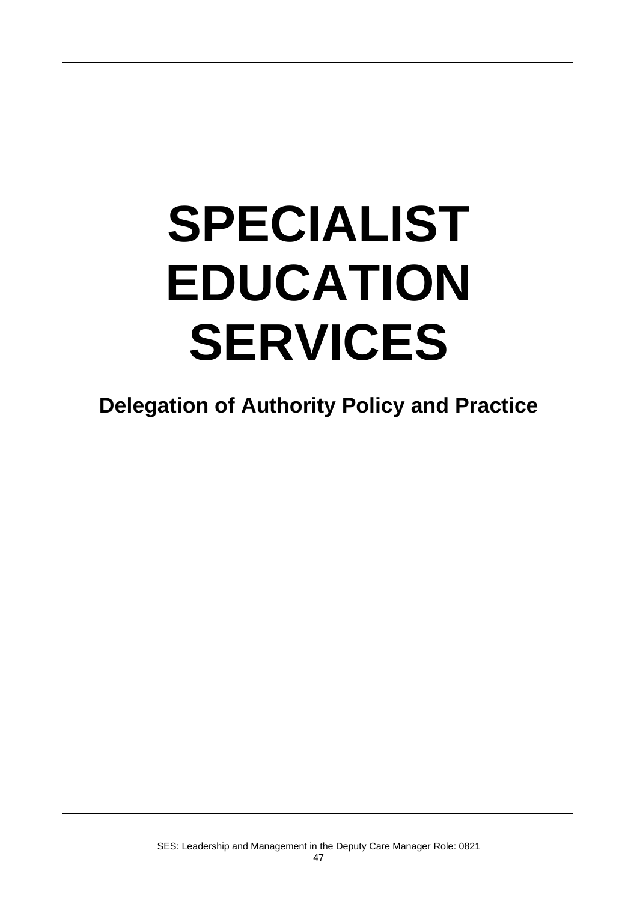# **SPECIALIST EDUCATION SERVICES**

 $\overline{\phantom{a}}$ 

**Delegation of Authority Policy and Practice**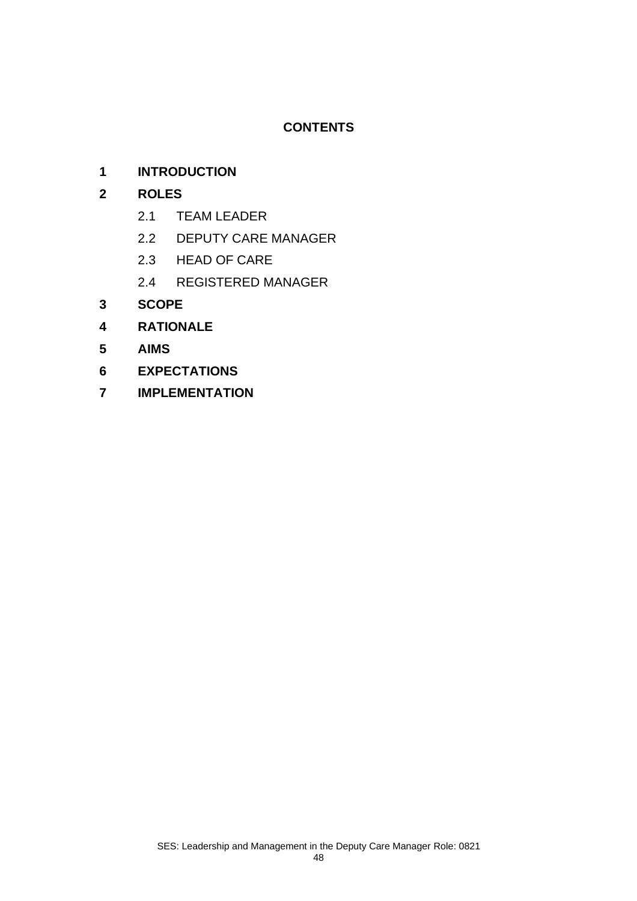## **CONTENTS**

## **1 INTRODUCTION**

## **2 ROLES**

- 2.1 TEAM LEADER
- 2.2 DEPUTY CARE MANAGER
- 2.3 HEAD OF CARE
- 2.4 REGISTERED MANAGER
- **3 SCOPE**
- **4 RATIONALE**
- **5 AIMS**
- **6 EXPECTATIONS**
- **7 IMPLEMENTATION**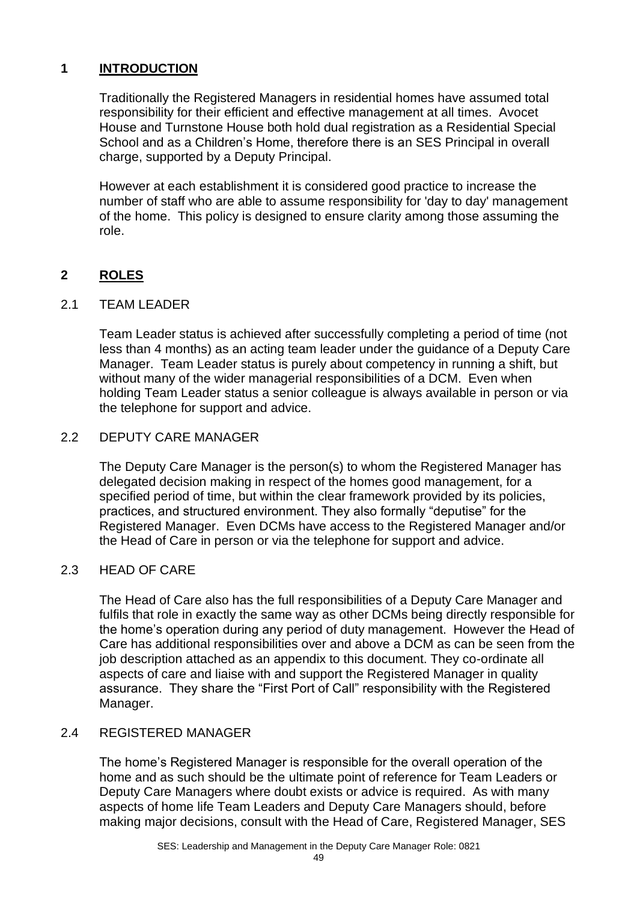## **1 INTRODUCTION**

Traditionally the Registered Managers in residential homes have assumed total responsibility for their efficient and effective management at all times. Avocet House and Turnstone House both hold dual registration as a Residential Special School and as a Children's Home, therefore there is an SES Principal in overall charge, supported by a Deputy Principal.

However at each establishment it is considered good practice to increase the number of staff who are able to assume responsibility for 'day to day' management of the home. This policy is designed to ensure clarity among those assuming the role.

## **2 ROLES**

## 2.1 TEAM LEADER

Team Leader status is achieved after successfully completing a period of time (not less than 4 months) as an acting team leader under the guidance of a Deputy Care Manager. Team Leader status is purely about competency in running a shift, but without many of the wider managerial responsibilities of a DCM. Even when holding Team Leader status a senior colleague is always available in person or via the telephone for support and advice.

## 2.2 DEPUTY CARE MANAGER

The Deputy Care Manager is the person(s) to whom the Registered Manager has delegated decision making in respect of the homes good management, for a specified period of time, but within the clear framework provided by its policies, practices, and structured environment. They also formally "deputise" for the Registered Manager. Even DCMs have access to the Registered Manager and/or the Head of Care in person or via the telephone for support and advice.

## 2.3 HEAD OF CARE

The Head of Care also has the full responsibilities of a Deputy Care Manager and fulfils that role in exactly the same way as other DCMs being directly responsible for the home's operation during any period of duty management. However the Head of Care has additional responsibilities over and above a DCM as can be seen from the job description attached as an appendix to this document. They co-ordinate all aspects of care and liaise with and support the Registered Manager in quality assurance. They share the "First Port of Call" responsibility with the Registered Manager.

## 2.4 REGISTERED MANAGER

The home's Registered Manager is responsible for the overall operation of the home and as such should be the ultimate point of reference for Team Leaders or Deputy Care Managers where doubt exists or advice is required. As with many aspects of home life Team Leaders and Deputy Care Managers should, before making major decisions, consult with the Head of Care, Registered Manager, SES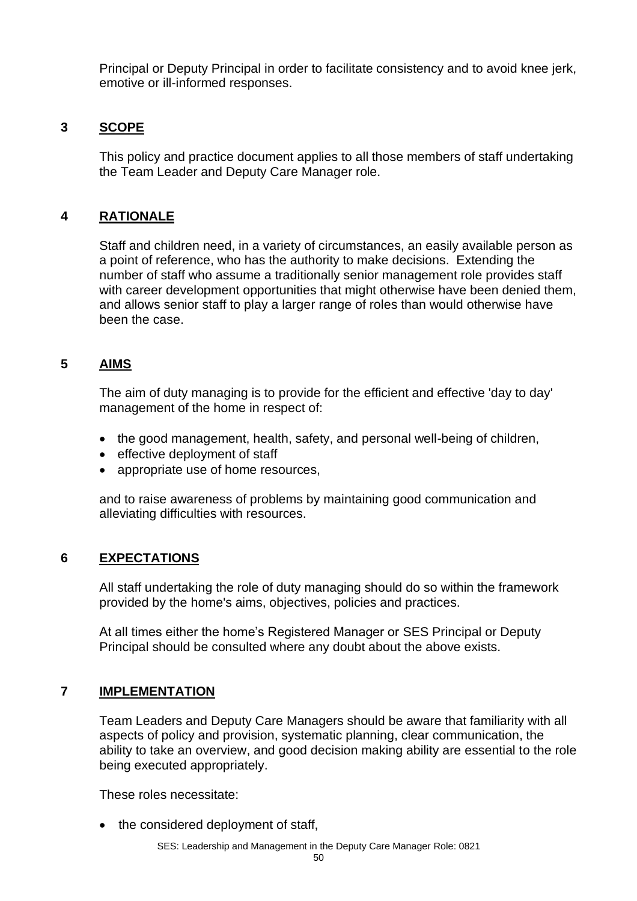Principal or Deputy Principal in order to facilitate consistency and to avoid knee jerk, emotive or ill-informed responses.

## **3 SCOPE**

This policy and practice document applies to all those members of staff undertaking the Team Leader and Deputy Care Manager role.

## **4 RATIONALE**

Staff and children need, in a variety of circumstances, an easily available person as a point of reference, who has the authority to make decisions. Extending the number of staff who assume a traditionally senior management role provides staff with career development opportunities that might otherwise have been denied them, and allows senior staff to play a larger range of roles than would otherwise have been the case.

## **5 AIMS**

The aim of duty managing is to provide for the efficient and effective 'day to day' management of the home in respect of:

- the good management, health, safety, and personal well-being of children,
- effective deployment of staff
- appropriate use of home resources,

and to raise awareness of problems by maintaining good communication and alleviating difficulties with resources.

## **6 EXPECTATIONS**

All staff undertaking the role of duty managing should do so within the framework provided by the home's aims, objectives, policies and practices.

At all times either the home's Registered Manager or SES Principal or Deputy Principal should be consulted where any doubt about the above exists.

## **7 IMPLEMENTATION**

Team Leaders and Deputy Care Managers should be aware that familiarity with all aspects of policy and provision, systematic planning, clear communication, the ability to take an overview, and good decision making ability are essential to the role being executed appropriately.

These roles necessitate:

• the considered deployment of staff,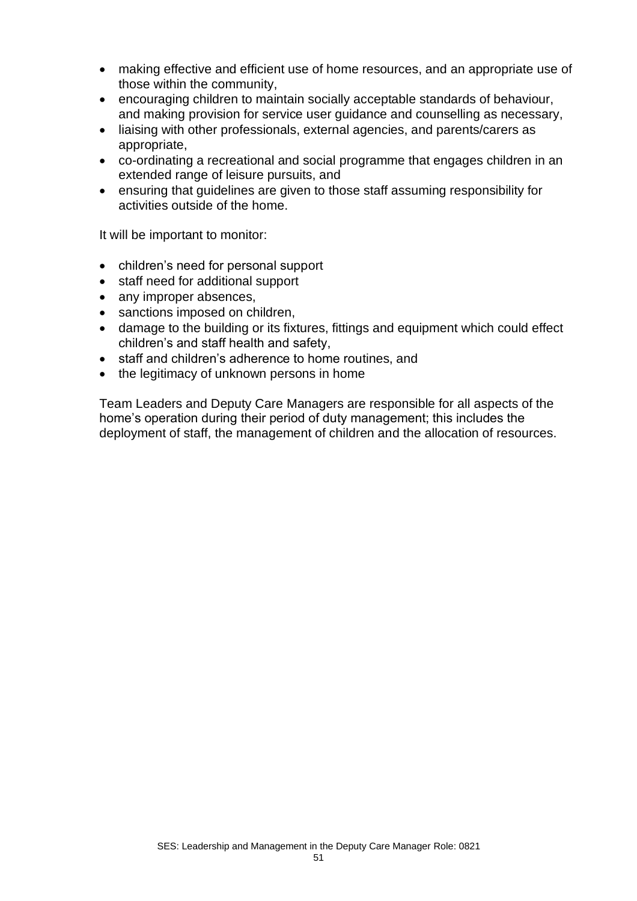- making effective and efficient use of home resources, and an appropriate use of those within the community,
- encouraging children to maintain socially acceptable standards of behaviour, and making provision for service user guidance and counselling as necessary,
- liaising with other professionals, external agencies, and parents/carers as appropriate,
- co-ordinating a recreational and social programme that engages children in an extended range of leisure pursuits, and
- ensuring that guidelines are given to those staff assuming responsibility for activities outside of the home.

It will be important to monitor:

- children's need for personal support
- staff need for additional support
- any improper absences,
- sanctions imposed on children,
- damage to the building or its fixtures, fittings and equipment which could effect children's and staff health and safety,
- staff and children's adherence to home routines, and
- the legitimacy of unknown persons in home

Team Leaders and Deputy Care Managers are responsible for all aspects of the home's operation during their period of duty management; this includes the deployment of staff, the management of children and the allocation of resources.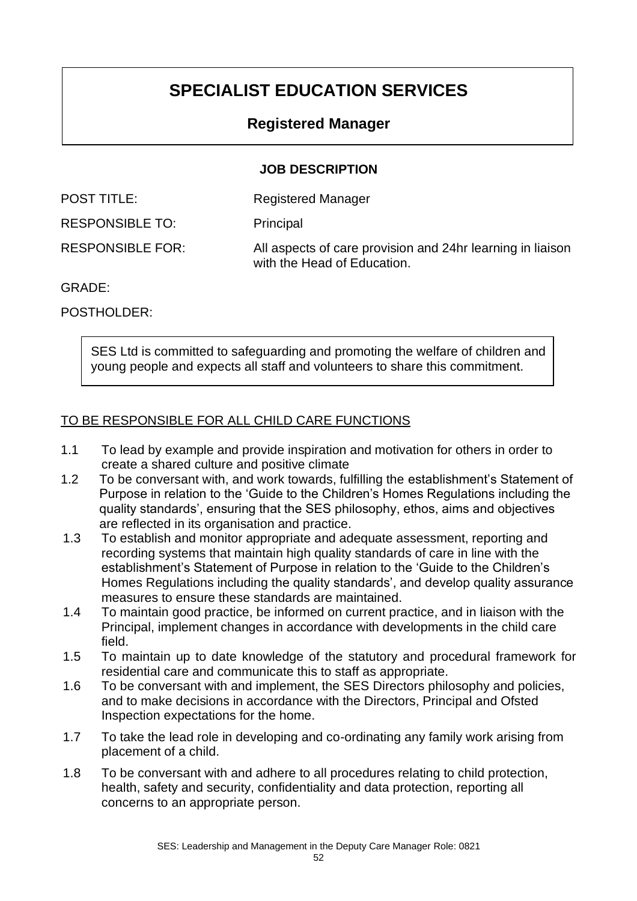## **SPECIALIST EDUCATION SERVICES**

## **Registered Manager**

## **JOB DESCRIPTION**

| <b>POST TITLE:</b>      | <b>Registered Manager</b>                                                                 |
|-------------------------|-------------------------------------------------------------------------------------------|
| <b>RESPONSIBLE TO:</b>  | Principal                                                                                 |
| <b>RESPONSIBLE FOR:</b> | All aspects of care provision and 24hr learning in liaison<br>with the Head of Education. |

## GRADE:

POSTHOLDER:

SES Ltd is committed to safeguarding and promoting the welfare of children and young people and expects all staff and volunteers to share this commitment.

## TO BE RESPONSIBLE FOR ALL CHILD CARE FUNCTIONS

- 1.1 To lead by example and provide inspiration and motivation for others in order to create a shared culture and positive climate
- 1.2 To be conversant with, and work towards, fulfilling the establishment's Statement of Purpose in relation to the 'Guide to the Children's Homes Regulations including the quality standards', ensuring that the SES philosophy, ethos, aims and objectives are reflected in its organisation and practice.
- 1.3 To establish and monitor appropriate and adequate assessment, reporting and recording systems that maintain high quality standards of care in line with the establishment's Statement of Purpose in relation to the 'Guide to the Children's Homes Regulations including the quality standards', and develop quality assurance measures to ensure these standards are maintained.
- 1.4 To maintain good practice, be informed on current practice, and in liaison with the Principal, implement changes in accordance with developments in the child care field.
- 1.5 To maintain up to date knowledge of the statutory and procedural framework for residential care and communicate this to staff as appropriate.
- 1.6 To be conversant with and implement, the SES Directors philosophy and policies, and to make decisions in accordance with the Directors, Principal and Ofsted Inspection expectations for the home.
- 1.7 To take the lead role in developing and co-ordinating any family work arising from placement of a child.
- 1.8 To be conversant with and adhere to all procedures relating to child protection, health, safety and security, confidentiality and data protection, reporting all concerns to an appropriate person.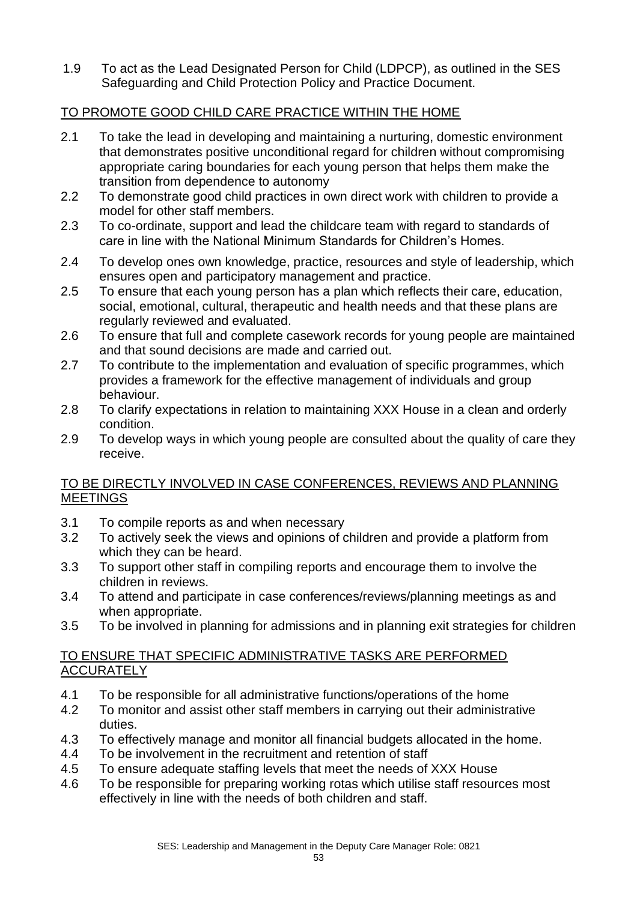1.9 To act as the Lead Designated Person for Child (LDPCP), as outlined in the SES Safeguarding and Child Protection Policy and Practice Document.

## TO PROMOTE GOOD CHILD CARE PRACTICE WITHIN THE HOME

- 2.1 To take the lead in developing and maintaining a nurturing, domestic environment that demonstrates positive unconditional regard for children without compromising appropriate caring boundaries for each young person that helps them make the transition from dependence to autonomy
- 2.2 To demonstrate good child practices in own direct work with children to provide a model for other staff members.
- 2.3 To co-ordinate, support and lead the childcare team with regard to standards of care in line with the National Minimum Standards for Children's Homes.
- 2.4 To develop ones own knowledge, practice, resources and style of leadership, which ensures open and participatory management and practice.
- 2.5 To ensure that each young person has a plan which reflects their care, education, social, emotional, cultural, therapeutic and health needs and that these plans are regularly reviewed and evaluated.
- 2.6 To ensure that full and complete casework records for young people are maintained and that sound decisions are made and carried out.
- 2.7 To contribute to the implementation and evaluation of specific programmes, which provides a framework for the effective management of individuals and group behaviour.
- 2.8 To clarify expectations in relation to maintaining XXX House in a clean and orderly condition.
- 2.9 To develop ways in which young people are consulted about the quality of care they receive.

## TO BE DIRECTLY INVOLVED IN CASE CONFERENCES, REVIEWS AND PLANNING **MEETINGS**

- 3.1 To compile reports as and when necessary
- 3.2 To actively seek the views and opinions of children and provide a platform from which they can be heard.
- 3.3 To support other staff in compiling reports and encourage them to involve the children in reviews.
- 3.4 To attend and participate in case conferences/reviews/planning meetings as and when appropriate.
- 3.5 To be involved in planning for admissions and in planning exit strategies for children

## TO ENSURE THAT SPECIFIC ADMINISTRATIVE TASKS ARE PERFORMED ACCURATELY

- 4.1 To be responsible for all administrative functions/operations of the home
- 4.2 To monitor and assist other staff members in carrying out their administrative duties.
- 4.3 To effectively manage and monitor all financial budgets allocated in the home.
- 4.4 To be involvement in the recruitment and retention of staff
- 4.5 To ensure adequate staffing levels that meet the needs of XXX House
- 4.6 To be responsible for preparing working rotas which utilise staff resources most effectively in line with the needs of both children and staff.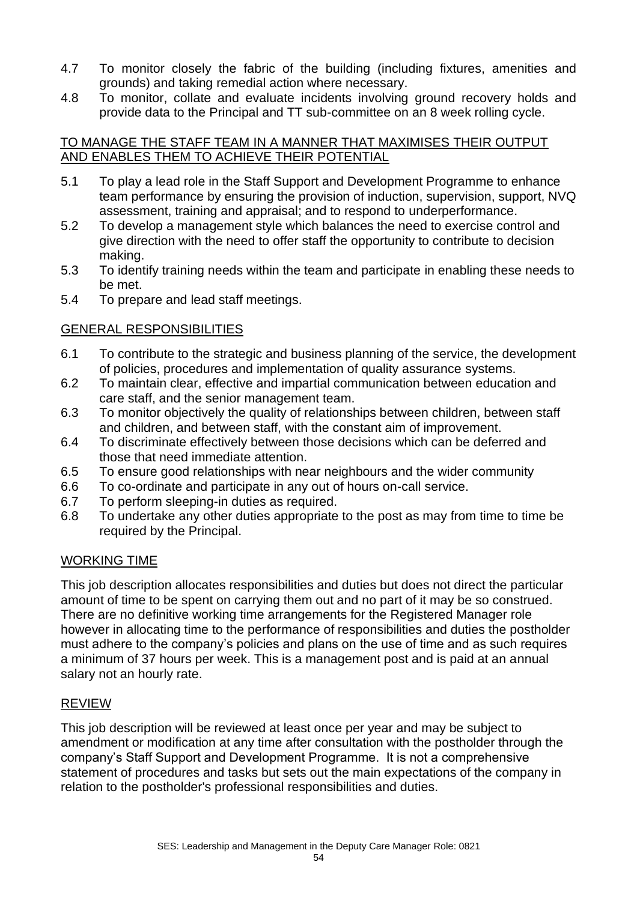- 4.7 To monitor closely the fabric of the building (including fixtures, amenities and grounds) and taking remedial action where necessary.
- 4.8 To monitor, collate and evaluate incidents involving ground recovery holds and provide data to the Principal and TT sub-committee on an 8 week rolling cycle.

## TO MANAGE THE STAFF TEAM IN A MANNER THAT MAXIMISES THEIR OUTPUT AND ENABLES THEM TO ACHIEVE THEIR POTENTIAL

- 5.1 To play a lead role in the Staff Support and Development Programme to enhance team performance by ensuring the provision of induction, supervision, support, NVQ assessment, training and appraisal; and to respond to underperformance.
- 5.2 To develop a management style which balances the need to exercise control and give direction with the need to offer staff the opportunity to contribute to decision making.
- 5.3 To identify training needs within the team and participate in enabling these needs to be met.
- 5.4 To prepare and lead staff meetings.

## GENERAL RESPONSIBILITIES

- 6.1 To contribute to the strategic and business planning of the service, the development of policies, procedures and implementation of quality assurance systems.
- 6.2 To maintain clear, effective and impartial communication between education and care staff, and the senior management team.
- 6.3 To monitor objectively the quality of relationships between children, between staff and children, and between staff, with the constant aim of improvement.
- 6.4 To discriminate effectively between those decisions which can be deferred and those that need immediate attention.
- 6.5 To ensure good relationships with near neighbours and the wider community
- 6.6 To co-ordinate and participate in any out of hours on-call service.
- 6.7 To perform sleeping-in duties as required.
- 6.8 To undertake any other duties appropriate to the post as may from time to time be required by the Principal.

## WORKING TIME

This job description allocates responsibilities and duties but does not direct the particular amount of time to be spent on carrying them out and no part of it may be so construed. There are no definitive working time arrangements for the Registered Manager role however in allocating time to the performance of responsibilities and duties the postholder must adhere to the company's policies and plans on the use of time and as such requires a minimum of 37 hours per week. This is a management post and is paid at an annual salary not an hourly rate.

## REVIEW

This job description will be reviewed at least once per year and may be subject to amendment or modification at any time after consultation with the postholder through the company's Staff Support and Development Programme. It is not a comprehensive statement of procedures and tasks but sets out the main expectations of the company in relation to the postholder's professional responsibilities and duties.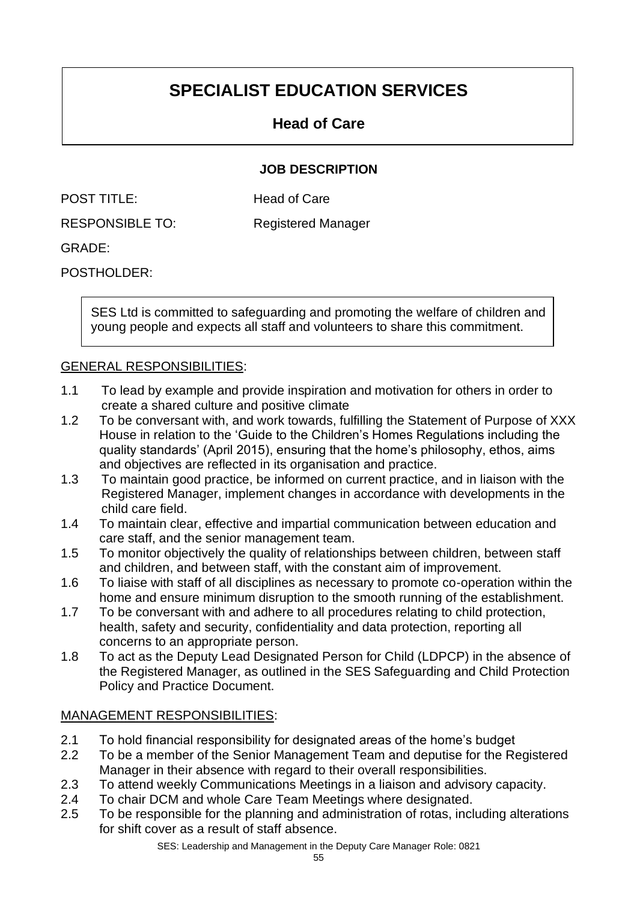## **SPECIALIST EDUCATION SERVICES**

## **Head of Care**

## **JOB DESCRIPTION**

| <b>POST TITLE:</b> | <b>Head of Care</b> |
|--------------------|---------------------|
|                    |                     |

RESPONSIBLE TO: Registered Manager

GRADE:

POSTHOLDER:

SES Ltd is committed to safeguarding and promoting the welfare of children and young people and expects all staff and volunteers to share this commitment.

## GENERAL RESPONSIBILITIES:

- 1.1 To lead by example and provide inspiration and motivation for others in order to create a shared culture and positive climate
- 1.2 To be conversant with, and work towards, fulfilling the Statement of Purpose of XXX House in relation to the 'Guide to the Children's Homes Regulations including the quality standards' (April 2015), ensuring that the home's philosophy, ethos, aims and objectives are reflected in its organisation and practice.
- 1.3 To maintain good practice, be informed on current practice, and in liaison with the Registered Manager, implement changes in accordance with developments in the child care field.
- 1.4 To maintain clear, effective and impartial communication between education and care staff, and the senior management team.
- 1.5 To monitor objectively the quality of relationships between children, between staff and children, and between staff, with the constant aim of improvement.
- 1.6 To liaise with staff of all disciplines as necessary to promote co-operation within the home and ensure minimum disruption to the smooth running of the establishment.
- 1.7 To be conversant with and adhere to all procedures relating to child protection, health, safety and security, confidentiality and data protection, reporting all concerns to an appropriate person.
- 1.8 To act as the Deputy Lead Designated Person for Child (LDPCP) in the absence of the Registered Manager, as outlined in the SES Safeguarding and Child Protection Policy and Practice Document.

## MANAGEMENT RESPONSIBILITIES:

- 2.1 To hold financial responsibility for designated areas of the home's budget
- 2.2 To be a member of the Senior Management Team and deputise for the Registered Manager in their absence with regard to their overall responsibilities.
- 2.3 To attend weekly Communications Meetings in a liaison and advisory capacity.
- 2.4 To chair DCM and whole Care Team Meetings where designated.
- 2.5 To be responsible for the planning and administration of rotas, including alterations for shift cover as a result of staff absence.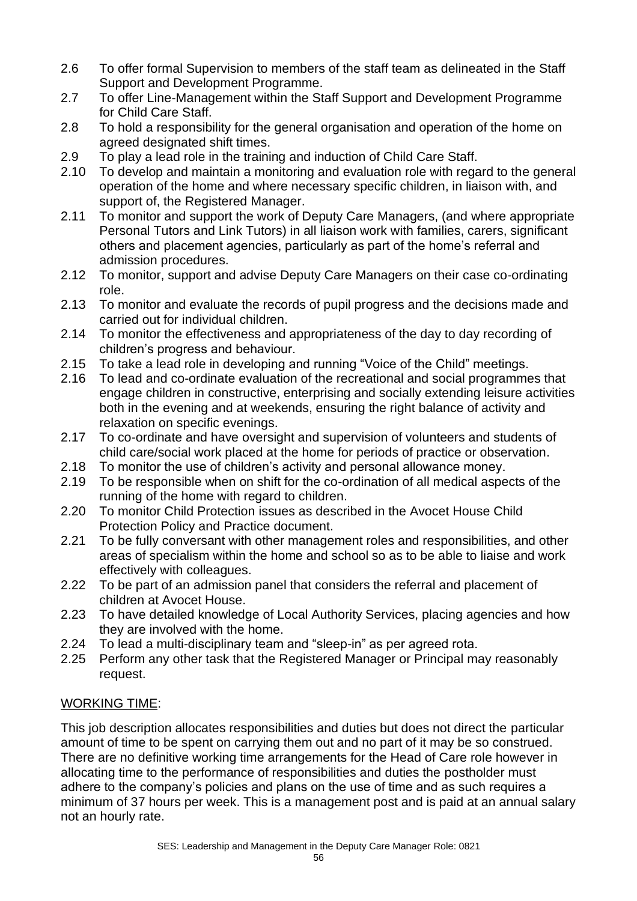- 2.6 To offer formal Supervision to members of the staff team as delineated in the Staff Support and Development Programme.
- 2.7 To offer Line-Management within the Staff Support and Development Programme for Child Care Staff.
- 2.8 To hold a responsibility for the general organisation and operation of the home on agreed designated shift times.
- 2.9 To play a lead role in the training and induction of Child Care Staff.
- 2.10 To develop and maintain a monitoring and evaluation role with regard to the general operation of the home and where necessary specific children, in liaison with, and support of, the Registered Manager.
- 2.11 To monitor and support the work of Deputy Care Managers, (and where appropriate Personal Tutors and Link Tutors) in all liaison work with families, carers, significant others and placement agencies, particularly as part of the home's referral and admission procedures.
- 2.12 To monitor, support and advise Deputy Care Managers on their case co-ordinating role.
- 2.13 To monitor and evaluate the records of pupil progress and the decisions made and carried out for individual children.
- 2.14 To monitor the effectiveness and appropriateness of the day to day recording of children's progress and behaviour.
- 2.15 To take a lead role in developing and running "Voice of the Child" meetings.
- 2.16 To lead and co-ordinate evaluation of the recreational and social programmes that engage children in constructive, enterprising and socially extending leisure activities both in the evening and at weekends, ensuring the right balance of activity and relaxation on specific evenings.
- 2.17 To co-ordinate and have oversight and supervision of volunteers and students of child care/social work placed at the home for periods of practice or observation.
- 2.18 To monitor the use of children's activity and personal allowance money.
- 2.19 To be responsible when on shift for the co-ordination of all medical aspects of the running of the home with regard to children.
- 2.20 To monitor Child Protection issues as described in the Avocet House Child Protection Policy and Practice document.
- 2.21 To be fully conversant with other management roles and responsibilities, and other areas of specialism within the home and school so as to be able to liaise and work effectively with colleagues.
- 2.22 To be part of an admission panel that considers the referral and placement of children at Avocet House.
- 2.23 To have detailed knowledge of Local Authority Services, placing agencies and how they are involved with the home.
- 2.24 To lead a multi-disciplinary team and "sleep-in" as per agreed rota.
- 2.25 Perform any other task that the Registered Manager or Principal may reasonably request.

## WORKING TIME:

This job description allocates responsibilities and duties but does not direct the particular amount of time to be spent on carrying them out and no part of it may be so construed. There are no definitive working time arrangements for the Head of Care role however in allocating time to the performance of responsibilities and duties the postholder must adhere to the company's policies and plans on the use of time and as such requires a minimum of 37 hours per week. This is a management post and is paid at an annual salary not an hourly rate.